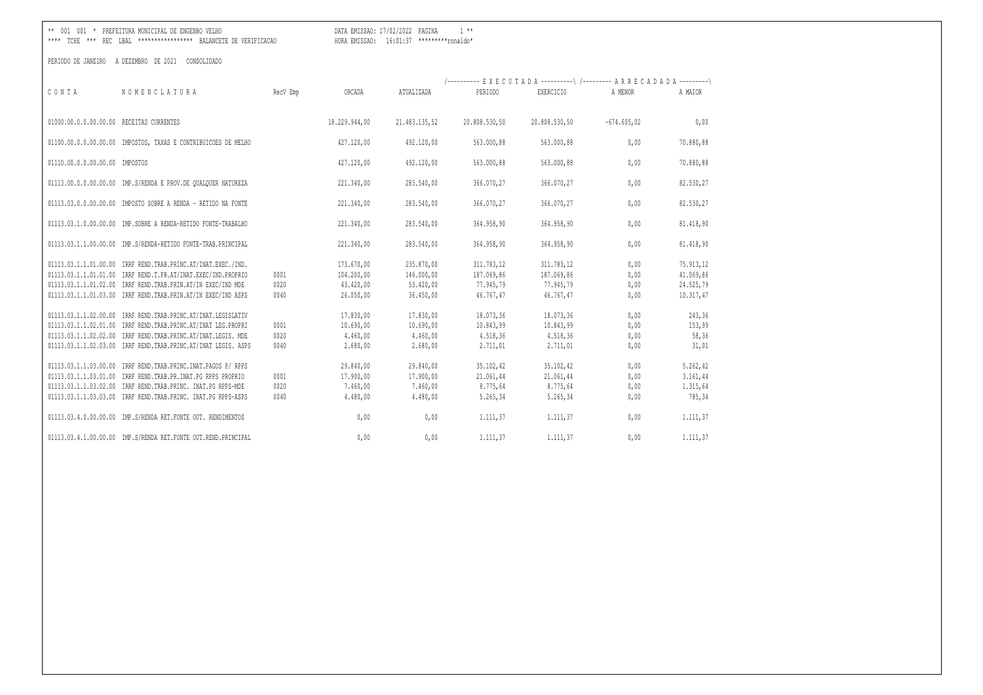DATA EMISSAO: 17/02/2022 PAGINA 1 \*\* 

| CONTA                                     | NOMENCLATURA                                                                                                                                                                                                                                                                           | RecV Emp             | ORCADA                                         | ATUALIZADA                                     | /---------- EXECUTADA ----------\ /--------- ARRECADADA ---------\<br>PERTODO | EXERCICIO                                      | A MENOR                      | A MAIOR                                    |
|-------------------------------------------|----------------------------------------------------------------------------------------------------------------------------------------------------------------------------------------------------------------------------------------------------------------------------------------|----------------------|------------------------------------------------|------------------------------------------------|-------------------------------------------------------------------------------|------------------------------------------------|------------------------------|--------------------------------------------|
| 01000.00.0.00.00.00.00 RECEITAS CORRENTES |                                                                                                                                                                                                                                                                                        |                      | 18,229,944,00                                  | 21.483.135.52                                  | 20.808.530,50                                                                 | 20.808.530,50                                  | $-674.605.02$                | 0,00                                       |
|                                           | 01100.00.0.0.00.00.00 IMPOSTOS, TAXAS E CONTRIBUICOES DE MELHO                                                                                                                                                                                                                         |                      | 427.120,00                                     | 492.120,00                                     | 563.000,88                                                                    | 563.000,88                                     | 0,00                         | 70.880,88                                  |
| 01110.00.0.0.00.00.00 IMPOSTOS            |                                                                                                                                                                                                                                                                                        |                      | 427.120,00                                     | 492.120,00                                     | 563.000,88                                                                    | 563.000,88                                     | 0,00                         | 70.880,88                                  |
|                                           | 01113.00.0.0.00.00.00 IMP.S/RENDA E PROV.DE QUALQUER NATUREZA                                                                                                                                                                                                                          |                      | 221.340,00                                     | 283.540,00                                     | 366.070,27                                                                    | 366.070,27                                     | 0,00                         | 82.530,27                                  |
|                                           | 01113.03.0.0.00.00.00 IMPOSTO SOBRE A RENDA - RETIDO NA FONTE                                                                                                                                                                                                                          |                      | 221.340,00                                     | 283.540,00                                     | 366.070,27                                                                    | 366.070,27                                     | 0,00                         | 82.530,27                                  |
|                                           | 01113.03.1.0.00.00.00 IMP.SOBRE A RENDA-RETIDO FONTE-TRABALHO                                                                                                                                                                                                                          |                      | 221.340,00                                     | 283.540,00                                     | 364.958,90                                                                    | 364.958,90                                     | 0,00                         | 81.418,90                                  |
| 01113.03.1.1.00.00.00                     | IMP.S/RENDA-RETIDO FONTE-TRAB.PRINCIPAL                                                                                                                                                                                                                                                |                      | 221.340,00                                     | 283.540,00                                     | 364.958,90                                                                    | 364.958,90                                     | 0,00                         | 81.418,90                                  |
|                                           | 01113.03.1.1.01.00.00 IRRF REND. TRAB. PRINC. AT / INAT. EXEC. / IND.<br>01113.03.1.1.01.01.00 IRRF REND.T.PR.AT/INAT.EXEC/IND.PROPRIO                                                                                                                                                 | 0001                 | 173.670,00<br>104.200,00                       | 235.870,00<br>146.000,00                       | 311.783,12<br>187.069,86                                                      | 311.783,12<br>187.069,86                       | 0,00<br>0,00                 | 75.913,12<br>41.069,86                     |
|                                           | 01113.03.1.1.01.02.00 IRRF REND.TRAB.PRIN.AT/IN EXEC/IND MDE<br>01113.03.1.1.01.03.00 IRRF REND.TRAB.PRIN.AT/IN EXEC/IND ASPS                                                                                                                                                          | 0020<br>0040         | 43.420,00<br>26.050.00                         | 53.420,00<br>36.450,00                         | 77.945,79<br>46.767.47                                                        | 77.945,79<br>46.767.47                         | 0,00<br>0,00                 | 24.525,79<br>10.317,47                     |
|                                           | 01113.03.1.1.02.00.00 IRRF REND. TRAB. PRINC. AT/INAT. LEGISLATIV<br>01113.03.1.1.02.01.00 IRRF REND. TRAB. PRINC. AT / INAT LEG. PROPRI<br>01113.03.1.1.02.02.00 IRRF REND. TRAB. PRINC. AT / INAT. LEGIS. MDE<br>01113.03.1.1.02.03.00 IRRF REND. TRAB. PRINC. AT / INAT LEGIS. ASPS | 0001<br>0020<br>0040 | 17.830,00<br>10.690,00<br>4.460,00<br>2.680,00 | 17.830,00<br>10.690,00<br>4.460,00<br>2.680,00 | 18.073,36<br>10.843,99<br>4.518,36<br>2.711,01                                | 18.073,36<br>10.843,99<br>4.518,36<br>2.711,01 | 0,00<br>0,00<br>0,00<br>0,00 | 243,36<br>153,99<br>58,36<br>31,01         |
|                                           | 01113.03.1.1.03.00.00 IRRF REND. TRAB. PRINC. INAT. PAGOS P/ RPPS<br>01113.03.1.1.03.01.00 IRRF REND.TRAB.PR.INAT.PG RPPS PROPRIO<br>01113.03.1.1.03.02.00 IRRF REND.TRAB.PRINC. INAT.PG RPPS-MDE<br>01113.03.1.1.03.03.00 IRRF REND. TRAB. PRINC. INAT. PG RPPS-ASPS                  | 0001<br>0020<br>0040 | 29.840,00<br>17.900,00<br>7.460,00<br>4.480,00 | 29.840,00<br>17.900,00<br>7.460,00<br>4.480,00 | 35.102,42<br>21.061,44<br>8.775,64<br>5.265,34                                | 35.102,42<br>21.061,44<br>8.775,64<br>5.265,34 | 0,00<br>0,00<br>0,00<br>0,00 | 5.262,42<br>3.161,44<br>1.315,64<br>785,34 |
|                                           | 01113.03.4.0.00.00.00 IMP.S/RENDA RET.FONTE OUT. RENDIMENTOS                                                                                                                                                                                                                           |                      | 0,00                                           | 0,00                                           | 1.111,37                                                                      | 1.111,37                                       | 0,00                         | 1.111,37                                   |
|                                           | 01113.03.4.1.00.00.00 IMP.S/RENDA RET.FONTE OUT.REND.PRINCIPAL                                                                                                                                                                                                                         |                      | 0.00                                           | 0,00                                           | 1.111.37                                                                      | 1.111,37                                       | 0.00                         | 1.111.37                                   |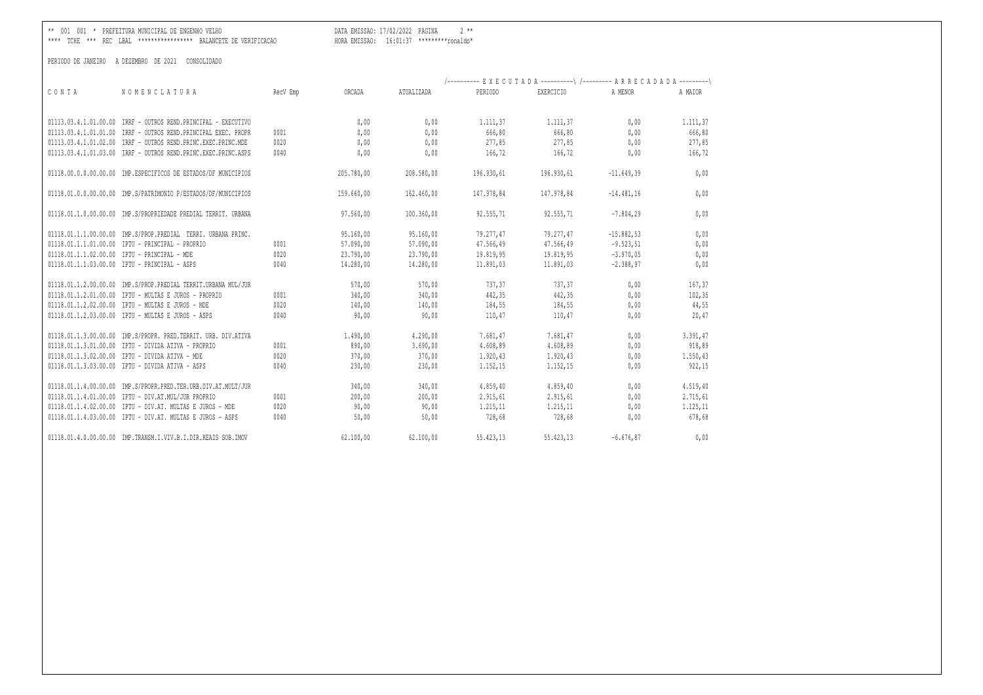\*\* 001 001 \* PREFEITURA MUNICIPAL DE ENGENHO VELHO DATA EMISSAO: 17/02/2022 PAGINA 2 \*\*

\*\*\*\* TCHE \*\*\* REC LBAL \*\*\*\*\*\*\*\*\*\*\*\*\*\*\*\*\* BALANCETE DE VERIFICACAO HORA EMISSAO: 16:01:37 \*\*\*\*\*\*\*\*\*ronaldo\*

|       |                                                                |          |            |            | /---------- EXECUTADA ----------\ /--------- ARRECADADA ---------\ |            |              |          |
|-------|----------------------------------------------------------------|----------|------------|------------|--------------------------------------------------------------------|------------|--------------|----------|
| CONTA | NOMENCLATURA                                                   | RecV Emp | ORCADA     | ATUALIZADA | PERIODO                                                            | EXERCICIO  | A MENOR      | A MAIOR  |
|       | 01113.03.4.1.01.00.00 IRRF - OUTROS REND.PRINCIPAL - EXECUTIVO |          | 0,00       | 0,00       | 1.111,37                                                           | 1.111,37   | 0,00         | 1.111,37 |
|       | 01113.03.4.1.01.01.00 IRRF - OUTROS REND.PRINCIPAL EXEC. PROPR | 0001     | 0,00       | 0,00       | 666,80                                                             | 666,80     | 0,00         | 666,80   |
|       | 01113.03.4.1.01.02.00 IRRF - OUTROS REND.PRINC.EXEC.PRINC.MDE  | 0020     | 0,00       | 0,00       | 277,85                                                             | 277,85     | 0,00         | 277,85   |
|       | 01113.03.4.1.01.03.00 IRRF - OUTROS REND.PRINC.EXEC.PRINC.ASPS | 0040     | 0.00       | 0.00       | 166,72                                                             | 166,72     | 0.00         | 166,72   |
|       | 01118.00.0.0.00.00.00 IMP.ESPECIFICOS DE ESTADOS/DF MUNICIPIOS |          | 205.780,00 | 208.580,00 | 196.930,61                                                         | 196.930,61 | $-11.649,39$ | 0,00     |
|       | 01118.01.0.0.00.00.00 IMP.S/PATRIMONIO P/ESTADOS/DF/MUNICIPIOS |          | 159.660,00 | 162,460,00 | 147.978.84                                                         | 147.978.84 | $-14.481,16$ | 0,00     |
|       | 01118.01.1.0.00.00.00 IMP.S/PROPRIEDADE PREDIAL TERRIT. URBANA |          | 97.560,00  | 100.360,00 | 92.555,71                                                          | 92.555,71  | $-7.804, 29$ | 0,00     |
|       | 01118.01.1.1.00.00.00 IMP.S/PROP.PREDIAL TERRI. URBANA PRINC.  |          | 95.160,00  | 95.160,00  | 79.277.47                                                          | 79.277.47  | $-15.882.53$ | 0,00     |
|       | 01118.01.1.1.01.00.00 IPTU - PRINCIPAL - PROPRIO               | 0001     | 57.090,00  | 57.090,00  | 47.566,49                                                          | 47.566,49  | $-9.523, 51$ | 0,00     |
|       | 01118.01.1.1.02.00.00 IPTU - PRINCIPAL - MDE                   | 0020     | 23.790,00  | 23.790,00  | 19.819,95                                                          | 19.819,95  | $-3.970,05$  | 0,00     |
|       | 01118.01.1.1.03.00.00 IPTU - PRINCIPAL - ASPS                  | 0040     | 14.280,00  | 14.280,00  | 11.891,03                                                          | 11.891,03  | $-2.388, 97$ | 0,00     |
|       | 01118.01.1.2.00.00.00 IMP.S/PROP.PREDIAL TERRIT.URBANA MUL/JUR |          | 570,00     | 570,00     | 737,37                                                             | 737,37     | 0,00         | 167,37   |
|       | 01118.01.1.2.01.00.00 IPTU - MULTAS E JUROS - PROPRIO          | 0001     | 340,00     | 340,00     | 442,35                                                             | 442,35     | 0,00         | 102,35   |
|       | 01118.01.1.2.02.00.00 IPTU - MULTAS E JUROS - MDE              | 0020     | 140,00     | 140,00     | 184,55                                                             | 184,55     | 0,00         | 44,55    |
|       | 01118.01.1.2.03.00.00 IPTU - MULTAS E JUROS - ASPS             | 0040     | 90,00      | 90,00      | 110,47                                                             | 110,47     | 0,00         | 20,47    |
|       | 01118.01.1.3.00.00.00 IMP.S/PROPR. PRED.TERRIT. URB. DIV.ATIVA |          | 1,490,00   | 4.290,00   | 7.681,47                                                           | 7.681,47   | 0,00         | 3.391,47 |
|       | 01118.01.1.3.01.00.00 IPTU - DIVIDA ATIVA - PROPRIO            | 0001     | 890,00     | 3.690,00   | 4.608,89                                                           | 4.608,89   | 0,00         | 918,89   |
|       | 01118.01.1.3.02.00.00 IPTU - DIVIDA ATIVA - MDE                | 0020     | 370,00     | 370,00     | 1.920,43                                                           | 1.920,43   | 0,00         | 1.550,43 |
|       | 01118.01.1.3.03.00.00 IPTU - DIVIDA ATIVA - ASPS               | 0040     | 230,00     | 230,00     | 1.152,15                                                           | 1.152,15   | 0,00         | 922,15   |
|       | 01118.01.1.4.00.00.00 IMP.S/PROPR.PRED.TER.URB.DIV.AT.MULT/JUR |          | 340,00     | 340,00     | 4.859,40                                                           | 4.859,40   | 0,00         | 4.519,40 |
|       | 01118.01.1.4.01.00.00 IPTU - DIV.AT.MUL/JUR PROPRIO            | 0001     | 200,00     | 200,00     | 2.915,61                                                           | 2.915,61   | 0,00         | 2.715,61 |
|       | 01118.01.1.4.02.00.00 IPTU - DIV.AT. MULTAS E JUROS - MDE      | 0020     | 90,00      | 90,00      | 1.215,11                                                           | 1.215, 11  | 0,00         | 1.125,11 |
|       | 01118.01.1.4.03.00.00 IPTU - DIV.AT. MULTAS E JUROS - ASPS     | 0040     | 50,00      | 50,00      | 728,68                                                             | 728,68     | 0,00         | 678,68   |
|       | 01118.01.4.0.00.00.00 IMP.TRANSM.I.VIV.B.I.DIR.REAIS SOB.IMOV  |          | 62.100.00  | 62,100,00  | 55,423,13                                                          | 55.423.13  | $-6.676.87$  | 0,00     |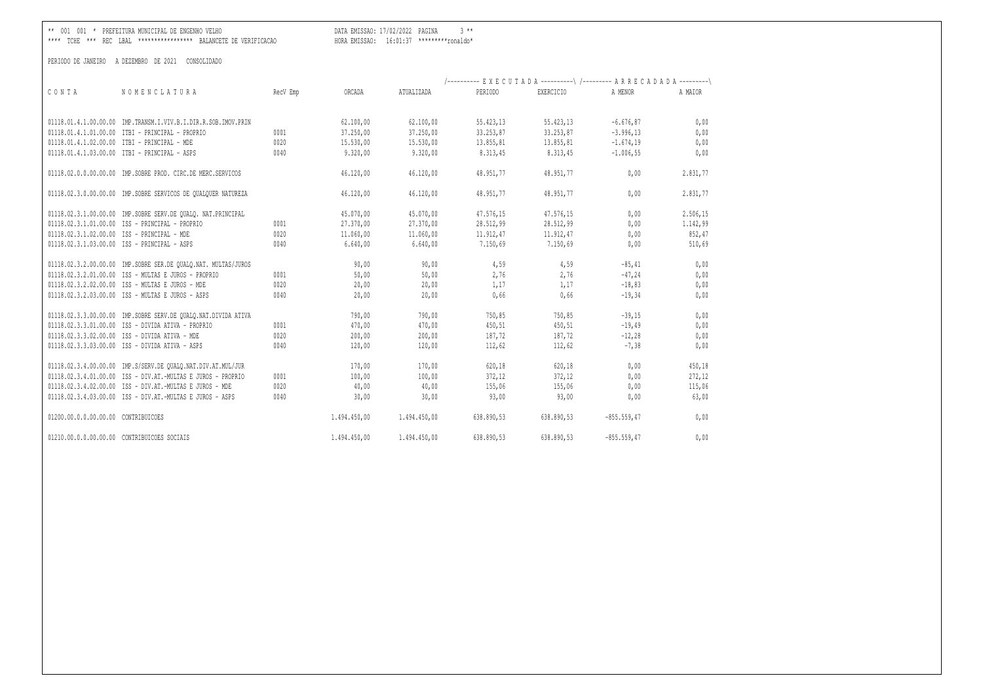\*\* 001 001 \* PREFEITURA MUNICIPAL DE ENGENHO VELHO DATA EMISSAO: 17/02/2022 PAGINA 3 \*\*

\*\*\*\* TCHE \*\*\* REC LBAL \*\*\*\*\*\*\*\*\*\*\*\*\*\*\*\*\* BALANCETE DE VERIFICACAO HORA EMISSAO: 16:01:37 \*\*\*\*\*\*\*\*\*ronaldo\*

|                                     |                                                                |          |              |              | /---------- EXECUTADA ----------\ /--------- ARRECADADA ---------\ |            |               |          |
|-------------------------------------|----------------------------------------------------------------|----------|--------------|--------------|--------------------------------------------------------------------|------------|---------------|----------|
| CONTA                               | NOMENCLATURA                                                   | RecV Emp | ORCADA       | ATUALIZADA   | PERIODO                                                            | EXERCICIO  | A MENOR       | A MAIOR  |
|                                     |                                                                |          |              |              |                                                                    |            |               |          |
|                                     | 01118.01.4.1.00.00.00 IMP.TRANSM.I.VIV.B.I.DIR.R.SOB.IMOV.PRIN |          | 62.100,00    | 62.100,00    | 55.423,13                                                          | 55.423,13  | $-6.676,87$   | 0,00     |
|                                     | 01118.01.4.1.01.00.00 ITBI - PRINCIPAL - PROPRIO               | 0001     | 37.250,00    | 37.250,00    | 33.253,87                                                          | 33.253,87  | $-3.996, 13$  | 0,00     |
|                                     | 01118.01.4.1.02.00.00 ITBI - PRINCIPAL - MDE                   | 0020     | 15.530,00    | 15.530,00    | 13.855,81                                                          | 13.855,81  | $-1.674, 19$  | 0,00     |
|                                     | 01118.01.4.1.03.00.00 ITBI - PRINCIPAL - ASPS                  | 0040     | 9.320,00     | 9.320,00     | 8.313,45                                                           | 8.313,45   | $-1.006, 55$  | 0,00     |
|                                     | 01118.02.0.0.00.00.00 IMP.SOBRE PROD. CIRC.DE MERC.SERVICOS    |          | 46.120,00    | 46.120,00    | 48.951,77                                                          | 48.951,77  | 0,00          | 2.831,77 |
|                                     | 01118.02.3.0.00.00.00 IMP.SOBRE SERVICOS DE QUALQUER NATUREZA  |          | 46.120,00    | 46.120,00    | 48.951,77                                                          | 48.951,77  | 0,00          | 2.831,77 |
|                                     | 01118.02.3.1.00.00.00 IMP.SOBRE SERV.DE QUALQ. NAT.PRINCIPAL   |          | 45.070,00    | 45.070,00    | 47.576,15                                                          | 47.576,15  | 0.00          | 2.506,15 |
|                                     | 01118.02.3.1.01.00.00 ISS - PRINCIPAL - PROPRIO                | 0001     | 27.370,00    | 27.370,00    | 28.512,99                                                          | 28.512,99  | 0,00          | 1.142,99 |
|                                     | 01118.02.3.1.02.00.00 ISS - PRINCIPAL - MDE                    | 0020     | 11.060,00    | 11.060,00    | 11.912,47                                                          | 11.912,47  | 0,00          | 852,47   |
|                                     | 01118.02.3.1.03.00.00 ISS - PRINCIPAL - ASPS                   | 0040     | 6.640,00     | 6.640,00     | 7.150,69                                                           | 7.150,69   | 0,00          | 510,69   |
|                                     | 01118.02.3.2.00.00.00 IMP.SOBRE SER.DE QUALQ.NAT. MULTAS/JUROS |          | 90,00        | 90,00        | 4,59                                                               | 4,59       | $-85, 41$     | 0,00     |
|                                     | 01118.02.3.2.01.00.00 ISS - MULTAS E JUROS - PROPRIO           | 0001     | 50,00        | 50,00        | 2,76                                                               | 2,76       | $-47,24$      | 0,00     |
|                                     | 01118.02.3.2.02.00.00 ISS - MULTAS E JUROS - MDE               | 0020     | 20,00        | 20,00        | 1,17                                                               | 1,17       | $-18,83$      | 0,00     |
|                                     | 01118.02.3.2.03.00.00 ISS - MULTAS E JUROS - ASPS              | 0040     | 20,00        | 20,00        | 0,66                                                               | 0,66       | $-19,34$      | 0,00     |
|                                     | 01118.02.3.3.00.00.00 IMP.SOBRE SERV.DE QUALQ.NAT.DIVIDA ATIVA |          | 790,00       | 790,00       | 750,85                                                             | 750,85     | $-39,15$      | 0,00     |
|                                     | 01118.02.3.3.01.00.00 ISS - DIVIDA ATIVA - PROPRIO             | 0001     | 470,00       | 470,00       | 450,51                                                             | 450,51     | $-19,49$      | 0,00     |
|                                     | 01118.02.3.3.02.00.00 ISS - DIVIDA ATIVA - MDE                 | 0020     | 200,00       | 200,00       | 187,72                                                             | 187,72     | $-12,28$      | 0,00     |
|                                     | 01118.02.3.3.03.00.00 ISS - DIVIDA ATIVA - ASPS                | 0040     | 120,00       | 120,00       | 112,62                                                             | 112,62     | $-7,38$       | 0,00     |
|                                     | 01118.02.3.4.00.00.00 IMP.S/SERV.DE QUALQ.NAT.DIV.AT.MUL/JUR   |          | 170,00       | 170,00       | 620,18                                                             | 620,18     | 0,00          | 450,18   |
|                                     | 01118.02.3.4.01.00.00 ISS - DIV.AT.-MULTAS E JUROS - PROPRIO   | 0001     | 100,00       | 100,00       | 372,12                                                             | 372,12     | 0,00          | 272,12   |
|                                     | 01118.02.3.4.02.00.00 ISS - DIV.AT.-MULTAS E JUROS - MDE       | 0020     | 40,00        | 40,00        | 155,06                                                             | 155,06     | 0,00          | 115,06   |
|                                     | 01118.02.3.4.03.00.00 ISS - DIV.AT.-MULTAS E JUROS - ASPS      | 0040     | 30,00        | 30,00        | 93,00                                                              | 93,00      | 0,00          | 63,00    |
| 01200.00.0.0.00.00.00 CONTRIBUICOES |                                                                |          | 1.494.450,00 | 1.494.450,00 | 638.890,53                                                         | 638.890,53 | $-855.559,47$ | 0,00     |
|                                     | 01210.00.0.0.00.00.00 CONTRIBUICOES SOCIAIS                    |          | 1.494.450,00 | 1.494.450,00 | 638.890,53                                                         | 638.890,53 | $-855.559,47$ | 0,00     |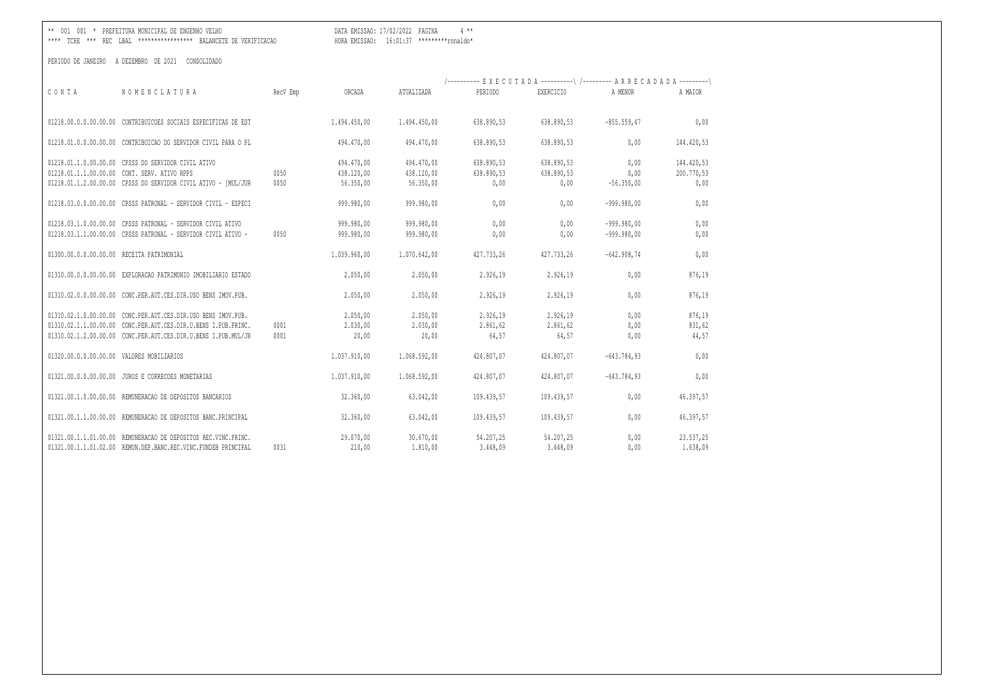DATA EMISSAO: 17/02/2022 PAGINA 4 \*\* 

|                       |                                                                                                                                                                                                   |              |                                       |                                       | /---------- EXECUTADA ----------\ /--------- ARRECADADA ---------\ |                                  |                                |                                  |
|-----------------------|---------------------------------------------------------------------------------------------------------------------------------------------------------------------------------------------------|--------------|---------------------------------------|---------------------------------------|--------------------------------------------------------------------|----------------------------------|--------------------------------|----------------------------------|
| CONTA                 | NOMENCLATURA                                                                                                                                                                                      | RecV Emp     | ORCADA                                | ATUALIZADA                            | PERIODO                                                            | <b>EXERCICIO</b>                 | A MENOR                        | A MAIOR                          |
|                       | 01218.00.0.0.00.00.00 CONTRIBUICOES SOCIAIS ESPECIFICAS DE EST                                                                                                                                    |              | 1.494.450,00                          | 1.494.450,00                          | 638.890,53                                                         | 638.890,53                       | $-855.559, 47$                 | 0,00                             |
|                       | 01218.01.0.0.00.00.00 CONTRIBUICAO DO SERVIDOR CIVIL PARA O PL                                                                                                                                    |              | 494,470,00                            | 494,470,00                            | 638.890,53                                                         | 638.890,53                       | 0,00                           | 144.420,53                       |
|                       | 01218.01.1.0.00.00.00 CPSSS DO SERVIDOR CIVIL ATIVO<br>01218.01.1.1.00.00.00 CONT. SERV. ATIVO RPPS<br>01218.01.1.2.00.00.00 CPSSS DO SERVIDOR CIVIL ATIVO - [MUL/JUR                             | 0050<br>0050 | 494,470,00<br>438.120,00<br>56.350,00 | 494.470,00<br>438.120,00<br>56.350,00 | 638.890,53<br>638.890,53<br>0,00                                   | 638.890,53<br>638.890,53<br>0,00 | 0,00<br>0,00<br>$-56.350,00$   | 144.420,53<br>200.770,53<br>0,00 |
|                       | 01218.03.0.0.00.00.00 CPSSS PATRONAL - SERVIDOR CIVIL - ESPECI                                                                                                                                    |              | 999.980,00                            | 999.980,00                            | 0,00                                                               | 0.00                             | $-999.980,00$                  | 0,00                             |
|                       | 01218.03.1.0.00.00.00 CPSSS PATRONAL - SERVIDOR CIVIL ATIVO<br>01218.03.1.1.00.00.00 CPSSS PATRONAL - SERVIDOR CIVIL ATIVO -                                                                      | 0050         | 999.980,00<br>999.980,00              | 999.980,00<br>999.980,00              | 0,00<br>0,00                                                       | 0.00<br>0,00                     | $-999.980.00$<br>$-999.980,00$ | 0,00<br>0,00                     |
|                       | 01300.00.0.0.00.00.00 RECEITA PATRIMONIAL                                                                                                                                                         |              | 1.039.960,00                          | 1.070.642,00                          | 427.733,26                                                         | 427.733,26                       | $-642.908,74$                  | 0,00                             |
|                       | 01310.00.0.00.00.00.00 EXPLORACAO PATRIMONIO IMOBILIARIO ESTADO                                                                                                                                   |              | 2.050,00                              | 2.050,00                              | 2.926,19                                                           | 2.926,19                         | 0,00                           | 876,19                           |
|                       | 01310.02.0.0.00.00.00 CONC.PER.AUT.CES.DIR.USO BENS IMOV.PUB.                                                                                                                                     |              | 2.050,00                              | 2.050,00                              | 2.926,19                                                           | 2.926,19                         | 0,00                           | 876,19                           |
|                       | 01310.02.1.0.00.00.00 CONC.PER.AUT.CES.DIR.USO BENS IMOV.PUB.<br>01310.02.1.1.00.00.00 CONC.PER.AUT.CES.DIR.U.BENS I.PUB.PRINC.<br>01310.02.1.2.00.00.00 CONC.PER.AUT.CES.DIR.U.BENS I.PUB.MUL/JR | 0001<br>0001 | 2.050,00<br>2.030,00<br>20,00         | 2.050,00<br>2.030,00<br>20,00         | 2.926,19<br>2.861,62<br>64,57                                      | 2.926,19<br>2.861, 62<br>64,57   | 0,00<br>0,00<br>0,00           | 876,19<br>831,62<br>44,57        |
| 01320.00.0.0.00.00.00 | VALORES MOBILIARIOS                                                                                                                                                                               |              | 1.037.910,00                          | 1.068.592,00                          | 424.807,07                                                         | 424,807,07                       | $-643.784,93$                  | 0,00                             |
| 01321.00.0.0.00.00.00 | JUROS E CORRECOES MONETARIAS                                                                                                                                                                      |              | 1.037.910,00                          | 1.068.592,00                          | 424.807,07                                                         | 424,807,07                       | $-643.784,93$                  | 0,00                             |
| 01321.00.1.0.00.00.00 | REMUNERACAO DE DEPOSITOS BANCARIOS                                                                                                                                                                |              | 32.360,00                             | 63.042,00                             | 109.439,57                                                         | 109.439,57                       | 0,00                           | 46.397,57                        |
| 01321.00.1.1.00.00.00 | REMUNERACAO DE DEPOSITOS BANC.PRINCIPAL                                                                                                                                                           |              | 32.360,00                             | 63.042,00                             | 109.439,57                                                         | 109.439,57                       | 0,00                           | 46.397,57                        |
|                       | 01321.00.1.1.01.00.00 REMUNERACAO DE DEPOSITOS REC.VINC.PRINC.<br>01321.00.1.1.01.02.00 REMUN.DEP.BANC.REC.VINC.FUNDEB PRINCIPAL                                                                  | 0031         | 29.070,00<br>210,00                   | 30.670,00<br>1.810,00                 | 54.207,25<br>3.448,09                                              | 54.207,25<br>3.448,09            | 0,00<br>0.00                   | 23.537,25<br>1.638,09            |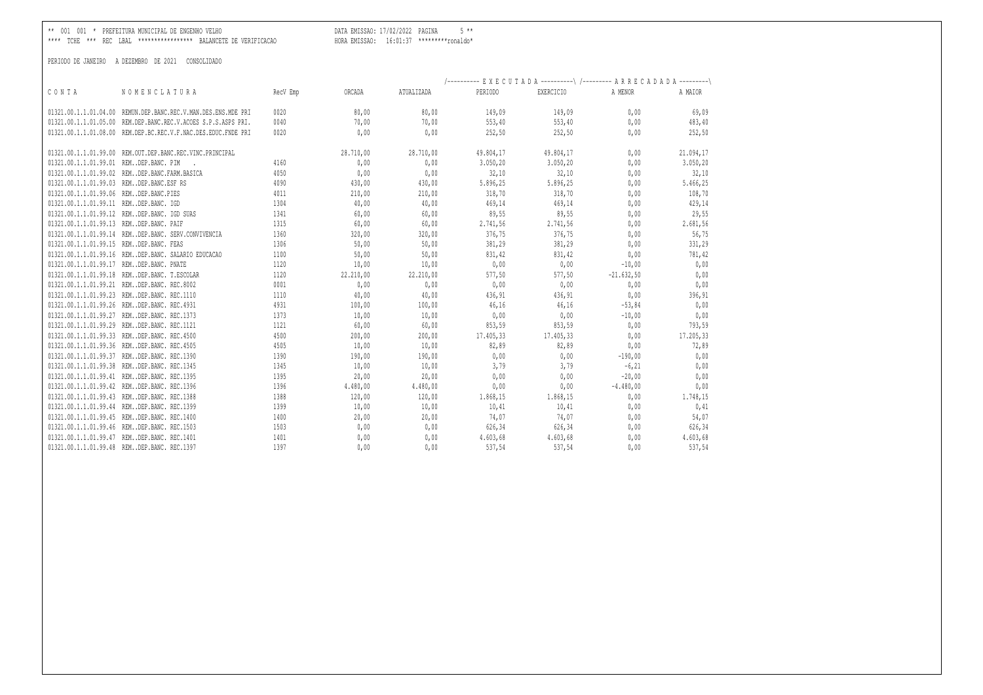\*\* 001 001 \* PREFEITURA MUNICIPAL DE ENGENHO VELHO DATA EMISSAO: 17/02/2022 PAGINA 5 \*\*

\*\*\*\* TCHE \*\*\* REC LBAL \*\*\*\*\*\*\*\*\*\*\*\*\*\*\*\*\* BALANCETE DE VERIFICACAO HORA EMISSAO: 16:01:37 \*\*\*\*\*\*\*\*\*ronaldo\*

|                                          |                                                                |          |           |            |                     | /---------- EXECUTADA ----------\ /--------- ARRECADADA ---------\ |                   |           |
|------------------------------------------|----------------------------------------------------------------|----------|-----------|------------|---------------------|--------------------------------------------------------------------|-------------------|-----------|
| CONTA                                    | NOMENCLATURA                                                   | RecV Emp | ORCADA    | ATUALIZADA | PERIODO             | EXERCICIO                                                          | A MENOR           | A MAIOR   |
| 01321.00.1.1.01.04.00                    | REMUN.DEP.BANC.REC.V.MAN.DES.ENS.MDE PRI                       | 0020     | 80,00     | 80,00      | 149,09              | 149,09                                                             | 0,00              | 69,09     |
|                                          | 01321.00.1.1.01.05.00 REM.DEP.BANC.REC.V.ACOES S.P.S.ASPS PRI. | 0040     | 70,00     | 70,00      | 553,40              | 553, 40                                                            | 0,00              | 483,40    |
|                                          | 01321.00.1.1.01.08.00 REM.DEP.BC.REC.V.F.NAC.DES.EDUC.FNDE PRI | 0020     | 0.00      | 0.00       | 252,50              | 252,50                                                             | 0,00              | 252,50    |
|                                          | 01321.00.1.1.01.99.00 REM.OUT.DEP.BANC.REC.VINC.PRINCIPAL      |          | 28.710,00 | 28.710,00  | 49.804,17           | 49.804,17                                                          | 0,00              | 21.094,17 |
| 01321.00.1.1.01.99.01 REMDEP.BANC. PIM   |                                                                | 4160     | 0,00      | 0,00       | 3.050, 20           | 3.050, 20                                                          | 0,00              | 3.050, 20 |
|                                          | 01321.00.1.1.01.99.02 REMDEP.BANC.FARM.BASICA                  | 4050     | 0,00      | 0,00       | 32,10               | 32,10                                                              | 0,00              | 32,10     |
| 01321.00.1.1.01.99.03 REMDEP.BANC.ESF RS |                                                                | 4090     | 430,00    | 430,00     | 5.896,25            | 5.896,25                                                           | 0,00              | 5.466,25  |
| 01321.00.1.1.01.99.06 REMDEP.BANC.PIES   |                                                                | 4011     | 210,00    | 210,00     | 318,70 318,70       |                                                                    | 0,00              | 108,70    |
| 01321.00.1.1.01.99.11 REMDEP.BANC. IGD   |                                                                | 1304     | 40,00     | 40,00      |                     | 469,14 469,14                                                      | 0,00              | 429,14    |
|                                          | 01321.00.1.1.01.99.12 REMDEP.BANC. IGD SUAS                    | 1341     | 60,00     | 60,00      |                     | 89,55 89,55                                                        | 0,00              | 29,55     |
| 01321.00.1.1.01.99.13 REMDEP.BANC. PAIF  |                                                                | 1315     | 60,00     | 60,00      | 2.741,56            | 2.741,56                                                           | 0,00              | 2.681,56  |
|                                          | 01321.00.1.1.01.99.14 REMDEP.BANC. SERV.CONVIVENCIA            | 1360     | 320,00    | 320,00     | 376,75 376,75       |                                                                    | 0,00              | 56,75     |
| 01321.00.1.1.01.99.15 REMDEP.BANC. FEAS  |                                                                | 1306     | 50,00     | 50,00      | 381,29              | 381,29                                                             | 0,00              | 331,29    |
|                                          | 01321.00.1.1.01.99.16 REMDEP.BANC. SALARIO EDUCACAO            | 1100     | 50,00     | 50,00      | 831,42              | 831,42                                                             | 0,00              | 781,42    |
| 01321.00.1.1.01.99.17 REMDEP.BANC. PNATE |                                                                | 1120     | 10,00     | 10,00      | 0,00                | 0,00                                                               | $-10,00$          | 0,00      |
|                                          | 01321.00.1.1.01.99.18 REMDEP.BANC. T.ESCOLAR                   | 1120     | 22.210.00 | 22.210,00  | 577,50              |                                                                    | 577,50 -21.632,50 | 0,00      |
|                                          | 01321.00.1.1.01.99.21 REMDEP.BANC. REC.8002                    | 0001     | 0,00      | 0,00       | 0,00                | 0,00                                                               | 0,00              | 0,00      |
|                                          | 01321.00.1.1.01.99.23 REMDEP.BANC. REC.1110                    | 1110     | 40,00     | 40,00      | 436, 91             | 436,91                                                             | 0,00              | 396,91    |
|                                          | 01321.00.1.1.01.99.26 REMDEP.BANC. REC.4931                    | 4931     | 100,00    | 100,00     | 46,16               | 46,16                                                              | $-53,84$          | 0,00      |
|                                          | 01321.00.1.1.01.99.27 REMDEP.BANC. REC.1373                    | 1373     | 10,00     | 10,00      | 0,00                | 0,00                                                               | $-10,00$          | 0,00      |
|                                          | 01321.00.1.1.01.99.29 REMDEP.BANC. REC.1121                    | 1121     | 60,00     | 60,00      | 853,59              | 853,59                                                             | 0,00              | 793,59    |
|                                          | 01321.00.1.1.01.99.33 REMDEP.BANC. REC.4500                    | 4500     | 200,00    | 200,00     | 17.405,33 17.405,33 |                                                                    | 0,00              | 17.205,33 |
|                                          | 01321.00.1.1.01.99.36 REMDEP.BANC. REC.4505                    | 4505     | 10,00     | 10,00      | 82,89               | 82,89                                                              | 0,00              | 72,89     |
|                                          | 01321.00.1.1.01.99.37 REMDEP.BANC. REC.1390                    | 1390     | 190,00    | 190,00     | 0,00                | 0,00                                                               | $-190,00$         | 0,00      |
|                                          | 01321.00.1.1.01.99.38 REMDEP.BANC. REC.1345                    | 1345     | 10,00     | 10,00      | 3,79                | 3,79                                                               | $-6,21$           | 0,00      |
|                                          | 01321.00.1.1.01.99.41 REMDEP.BANC. REC.1395                    | 1395     | 20,00     | 20,00      | 0,00                | 0,00                                                               | $-20,00$          | 0,00      |
|                                          | 01321.00.1.1.01.99.42 REMDEP.BANC. REC.1396                    | 1396     | 4.480,00  | 4.480,00   | 0,00                | 0,00                                                               | $-4.480,00$       | 0,00      |
|                                          | 01321.00.1.1.01.99.43 REMDEP.BANC. REC.1388                    | 1388     | 120,00    | 120,00     |                     | 1.868,15 1.868,15                                                  | 0,00              | 1.748,15  |
|                                          | 01321.00.1.1.01.99.44 REMDEP.BANC. REC.1399                    | 1399     | 10,00     | 10,00      | 10,41               | 10, 41                                                             | 0,00              | 0,41      |
|                                          | 01321.00.1.1.01.99.45 REMDEP.BANC. REC.1400                    | 1400     | 20,00     | 20,00      | 74,07               | 74,07                                                              | 0,00              | 54,07     |
|                                          | 01321.00.1.1.01.99.46 REMDEP.BANC. REC.1503                    | 1503     | 0,00      | 0,00       | 626,34              | 626,34                                                             | 0,00              | 626,34    |
|                                          | 01321.00.1.1.01.99.47 REMDEP.BANC. REC.1401                    | 1401     | 0,00      | 0,00       | 4.603,68            | 4.603,68                                                           | 0,00              | 4.603,68  |
|                                          | 01321.00.1.1.01.99.48 REMDEP.BANC. REC.1397                    | 1397     | 0.00      | 0.00       | 537,54              | 537,54                                                             | 0.00              | 537,54    |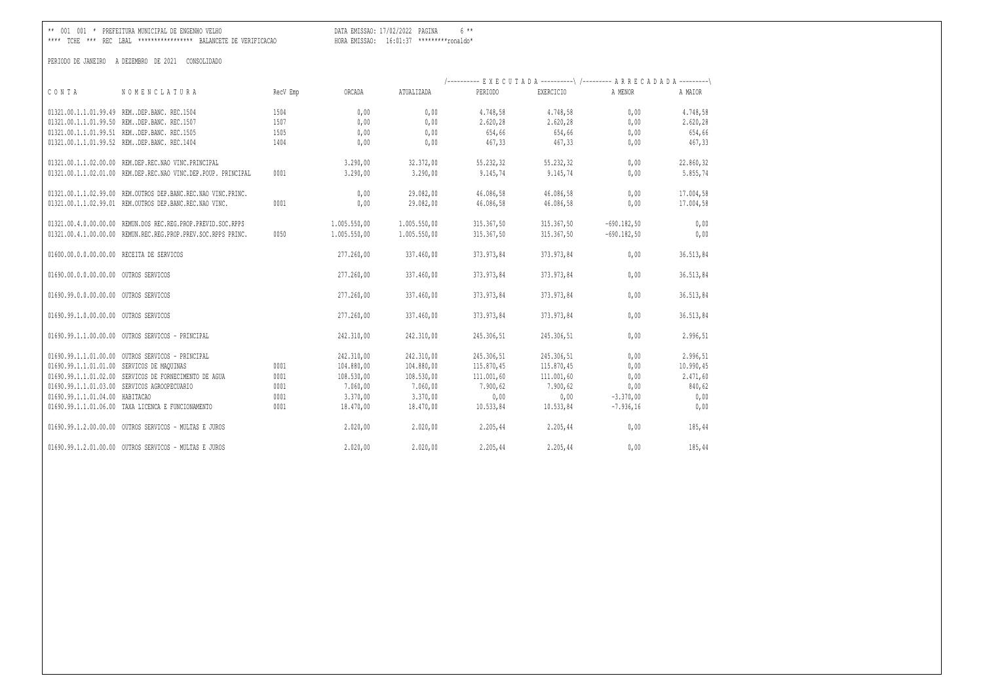\*\*\*\* TCHE \*\*\* REC LBAL \*\*\*\*\*\*\*\*\*\*\*\*\*\*\*\*\* BALANCETE DE VERIFICACAO HORA EMISSAO: 16:01:37 \*\*\*\*\*\*\*\*\*ronaldo\*

\*\* 001 001 \* PREFEITURA MUNICIPAL DE ENGENHO VELHO DATA EMISSAO: 17/02/2022 PAGINA 6 \*\*

|                                           |                                                                |          |              |              |            | /---------- EXECUTADA----------\/---------- ARRECADADA---------\ |               |           |
|-------------------------------------------|----------------------------------------------------------------|----------|--------------|--------------|------------|------------------------------------------------------------------|---------------|-----------|
| CONTA                                     | NOMENCLATURA                                                   | RecV Emp | ORCADA       | ATUALIZADA   | PERIODO    | EXERCICIO                                                        | A MENOR       | A MAIOR   |
|                                           | 01321.00.1.1.01.99.49 REMDEP.BANC. REC.1504                    | 1504     | 0,00         | 0,00         | 4.748,58   | 4.748,58                                                         | 0.00          | 4.748,58  |
|                                           | 01321.00.1.1.01.99.50 REMDEP.BANC. REC.1507                    | 1507     | 0,00         | 0,00         | 2.620,28   | 2.620,28                                                         | 0,00          | 2.620,28  |
|                                           | 01321.00.1.1.01.99.51 REMDEP.BANC. REC.1505                    | 1505     | 0,00         | 0,00         | 654,66     | 654,66                                                           | 0,00          | 654,66    |
|                                           | 01321.00.1.1.01.99.52 REMDEP.BANC. REC.1404                    | 1404     | 0,00         | 0,00         | 467,33     | 467,33                                                           | 0,00          | 467,33    |
|                                           | 01321.00.1.1.02.00.00 REM.DEP.REC.NAO VINC.PRINCIPAL           |          | 3.290,00     | 32.372,00    | 55.232,32  | 55.232,32                                                        | 0,00          | 22.860,32 |
|                                           | 01321.00.1.1.02.01.00 REM.DEP.REC.NAO VINC.DEP.POUP. PRINCIPAL | 0001     | 3.290,00     | 3.290,00     | 9.145,74   | 9.145,74                                                         | 0,00          | 5.855,74  |
|                                           | 01321.00.1.1.02.99.00 REM.OUTROS DEP.BANC.REC.NAO VINC.PRINC.  |          | 0,00         | 29.082,00    | 46.086,58  | 46.086,58                                                        | 0,00          | 17.004,58 |
|                                           | 01321.00.1.1.02.99.01 REM.OUTROS DEP.BANC.REC.NAO VINC.        | 0001     | 0,00         | 29.082,00    | 46.086,58  | 46.086,58                                                        | 0,00          | 17.004,58 |
|                                           | 01321.00.4.0.00.00.00 REMUN.DOS REC.REG.PROP.PREVID.SOC.RPPS   |          | 1.005.550,00 | 1.005.550,00 | 315.367,50 | 315.367,50                                                       | $-690.182,50$ | 0,00      |
|                                           | 01321.00.4.1.00.00.00 REMUN.REC.REG.PROP.PREV.SOC.RPPS PRINC.  | 0050     | 1.005.550,00 | 1.005.550,00 | 315.367,50 | 315.367,50                                                       | $-690.182,50$ | 0,00      |
| 01600.00.0.0.00.00.00 RECEITA DE SERVICOS |                                                                |          | 277.260,00   | 337.460,00   | 373.973,84 | 373.973,84                                                       | 0,00          | 36.513,84 |
| 01690.00.0.0.00.00.00 OUTROS SERVICOS     |                                                                |          | 277.260,00   | 337.460,00   | 373.973,84 | 373.973,84                                                       | 0,00          | 36.513,84 |
| 01690.99.0.0.00.00.00 OUTROS SERVICOS     |                                                                |          | 277.260,00   | 337.460,00   | 373.973,84 | 373.973,84                                                       | 0,00          | 36.513,84 |
| 01690.99.1.0.00.00.00 OUTROS SERVICOS     |                                                                |          | 277.260,00   | 337.460,00   | 373.973,84 | 373.973,84                                                       | 0,00          | 36.513,84 |
|                                           | 01690.99.1.1.00.00.00 OUTROS SERVICOS - PRINCIPAL              |          | 242,310,00   | 242.310,00   | 245.306,51 | 245.306,51                                                       | 0,00          | 2.996,51  |
|                                           | 01690.99.1.1.01.00.00 OUTROS SERVICOS - PRINCIPAL              |          | 242.310,00   | 242.310,00   | 245.306,51 | 245.306,51                                                       | 0,00          | 2.996,51  |
|                                           | 01690.99.1.1.01.01.00 SERVICOS DE MAQUINAS                     | 0001     | 104.880,00   | 104.880,00   | 115.870,45 | 115.870,45                                                       | 0,00          | 10.990,45 |
|                                           | 01690.99.1.1.01.02.00 SERVICOS DE FORNECIMENTO DE AGUA         | 0001     | 108.530,00   | 108.530,00   | 111.001,60 | 111.001,60                                                       | 0,00          | 2.471,60  |
|                                           | 01690.99.1.1.01.03.00 SERVICOS AGROOPECUARIO                   | 0001     | 7.060,00     | 7.060,00     | 7.900,62   | 7.900,62                                                         | 0,00          | 840,62    |
| 01690.99.1.1.01.04.00 HABITACAO           |                                                                | 0001     | 3.370,00     | 3.370,00     | 0,00       | 0,00                                                             | $-3.370,00$   | 0,00      |
|                                           | 01690.99.1.1.01.06.00 TAXA LICENCA E FUNCIONAMENTO             | 0001     | 18.470,00    | 18.470,00    | 10.533,84  | 10.533,84                                                        | $-7.936,16$   | 0,00      |
|                                           | 01690.99.1.2.00.00.00 OUTROS SERVICOS - MULTAS E JUROS         |          | 2.020,00     | 2.020,00     | 2.205,44   | 2.205,44                                                         | 0,00          | 185,44    |
|                                           | 01690.99.1.2.01.00.00 OUTROS SERVICOS - MULTAS E JUROS         |          | 2.020,00     | 2.020.00     | 2.205,44   | 2.205,44                                                         | 0.00          | 185,44    |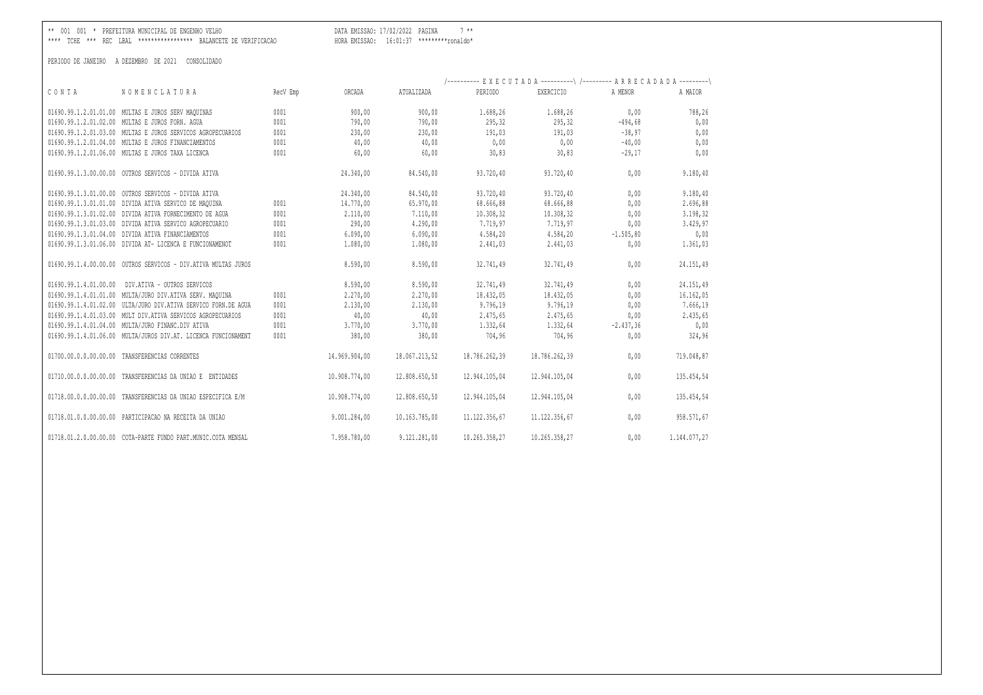\*\* 001 001 \* PREFEITURA MUNICIPAL DE ENGENHO VELHO DATA EMISSAO: 17/02/2022 PAGINA 7 \*\*

\*\*\*\* TCHE \*\*\* REC LBAL \*\*\*\*\*\*\*\*\*\*\*\*\*\*\*\*\* BALANCETE DE VERIFICACAO HORA EMISSAO: 16:01:37 \*\*\*\*\*\*\*\*\*ronaldo\*

|                                                        |                                                                |          |               |               | /---------- EXECUTADA ----------\ /--------- ARRECADADA ---------\ |                  |              |              |
|--------------------------------------------------------|----------------------------------------------------------------|----------|---------------|---------------|--------------------------------------------------------------------|------------------|--------------|--------------|
| CONTA                                                  | NOMENCLATURA                                                   | RecV Emp | ORCADA        | ATUALIZADA    | PERIODO                                                            | <b>EXERCICIO</b> | A MENOR      | A MAIOR      |
| 01690.99.1.2.01.01.00 MULTAS E JUROS SERV MAQUINAS     |                                                                | 0001     | 900,00        | 900,00        | 1.688,26                                                           | 1.688,26         | 0,00         | 788,26       |
| 01690.99.1.2.01.02.00 MULTAS E JUROS FORN. AGUA        |                                                                | 0001     | 790,00        | 790,00        | 295,32                                                             | 295,32           | $-494,68$    | 0,00         |
|                                                        | 01690.99.1.2.01.03.00 MULTAS E JUROS SERVICOS AGROPECUARIOS    | 0001     | 230,00        | 230,00        | 191,03                                                             | 191,03           | $-38,97$     | 0,00         |
| 01690.99.1.2.01.04.00 MULTAS E JUROS FINANCIAMENTOS    |                                                                | 0001     | 40,00         | 40,00         | 0,00                                                               | 0,00             | $-40,00$     | 0,00         |
| 01690.99.1.2.01.06.00 MULTAS E JUROS TAXA LICENCA      |                                                                | 0001     | 60,00         | 60,00         | 30,83                                                              | 30,83            | $-29,17$     | 0,00         |
| 01690.99.1.3.00.00.00 OUTROS SERVICOS - DIVIDA ATIVA   |                                                                |          | 24.340,00     | 84.540,00     | 93.720,40                                                          | 93.720,40        | 0,00         | 9.180,40     |
| 01690.99.1.3.01.00.00 OUTROS SERVICOS - DIVIDA ATIVA   |                                                                |          | 24.340,00     | 84.540,00     | 93.720,40                                                          | 93.720,40        | 0,00         | 9.180,40     |
| 01690.99.1.3.01.01.00 DIVIDA ATIVA SERVICO DE MAQUINA  |                                                                | 0001     | 14.770,00     | 65.970,00     | 68.666,88                                                          | 68.666,88        | 0,00         | 2.696,88     |
|                                                        | 01690.99.1.3.01.02.00 DIVIDA ATIVA FORNECIMENTO DE AGUA        | 0001     | 2.110,00      | 7.110,00      | 10.308,32                                                          | 10.308,32        | 0,00         | 3.198,32     |
|                                                        | 01690.99.1.3.01.03.00 DIVIDA ATIVA SERVICO AGROPECUARIO        | 0001     | 290,00        | 4.290,00      | 7.719,97                                                           | 7.719,97         | 0,00         | 3.429,97     |
| 01690.99.1.3.01.04.00 DIVIDA ATIVA FINANCIAMENTOS      |                                                                | 0001     | 6.090,00      | 6.090,00      | 4.584,20                                                           | 4.584,20         | $-1.505, 80$ | 0,00         |
|                                                        | 01690.99.1.3.01.06.00 DIVIDA AT- LICENCA E FUNCIONAMENOT       | 0001     | 1.080.00      | 1.080,00      | 2.441,03                                                           | 2.441,03         | 0,00         | 1.361,03     |
|                                                        | 01690.99.1.4.00.00.00 OUTROS SERVICOS - DIV.ATIVA MULTAS JUROS |          | 8.590,00      | 8.590,00      | 32.741.49                                                          | 32.741.49        | 0,00         | 24.151,49    |
| 01690.99.1.4.01.00.00                                  | DIV.ATIVA - OUTROS SERVICOS                                    |          | 8.590,00      | 8.590,00      | 32.741,49                                                          | 32.741,49        | 0,00         | 24.151,49    |
|                                                        | 01690.99.1.4.01.01.00 MULTA/JURO DIV.ATIVA SERV. MAQUINA       | 0001     | 2,270,00      | 2.270,00      | 18.432,05                                                          | 18.432,05        | 0,00         | 16.162,05    |
|                                                        | 01690.99.1.4.01.02.00 ULTA/JURO DIV.ATIVA SERVICO FORN.DE AGUA | 0001     | 2.130,00      | 2.130,00      | 9.796,19                                                           | 9.796,19         | 0,00         | 7.666,19     |
|                                                        | 01690.99.1.4.01.03.00 MULT DIV.ATIVA SERVICOS AGROPECUARIOS    | 0001     | 40,00         | 40,00         | 2.475,65                                                           | 2.475,65         | 0,00         | 2.435,65     |
| 01690.99.1.4.01.04.00 MULTA/JURO FINANC.DIV ATIVA      |                                                                | 0001     | 3.770,00      | 3.770,00      | 1.332,64                                                           | 1.332,64         | $-2.437, 36$ | 0,00         |
|                                                        | 01690.99.1.4.01.06.00 MULTA/JUROS DIV.AT. LICENCA FUNCIONAMENT | 0001     | 380,00        | 380,00        | 704,96                                                             | 704,96           | 0,00         | 324,96       |
| 01700.00.0.00.00.00.00 TRANSFERENCIAS CORRENTES        |                                                                |          | 14.969.904,00 | 18.067.213,52 | 18,786,262,39                                                      | 18.786.262,39    | 0,00         | 719.048,87   |
| 01710.00.0.0.00.00.00                                  | TRANSFERENCIAS DA UNIAO E ENTIDADES                            |          | 10.908.774,00 | 12.808.650,50 | 12.944.105,04                                                      | 12.944.105,04    | 0,00         | 135.454,54   |
|                                                        | 01718.00.0.0.00.00.00 TRANSFERENCIAS DA UNIAO ESPECIFICA E/M   |          | 10.908.774,00 | 12.808.650,50 | 12.944.105,04                                                      | 12.944.105,04    | 0,00         | 135.454,54   |
| 01718.01.0.0.00.00.00 PARTICIPACAO NA RECEITA DA UNIAO |                                                                |          | 9.001.284,00  | 10.163.785,00 | 11.122.356,67                                                      | 11.122.356,67    | 0,00         | 958.571,67   |
|                                                        | 01718.01.2.0.00.00.00 COTA-PARTE FUNDO PART.MUNIC.COTA MENSAL  |          | 7.958.780.00  | 9.121.281,00  | 10.265.358,27                                                      | 10.265.358,27    | 0.00         | 1.144.077.27 |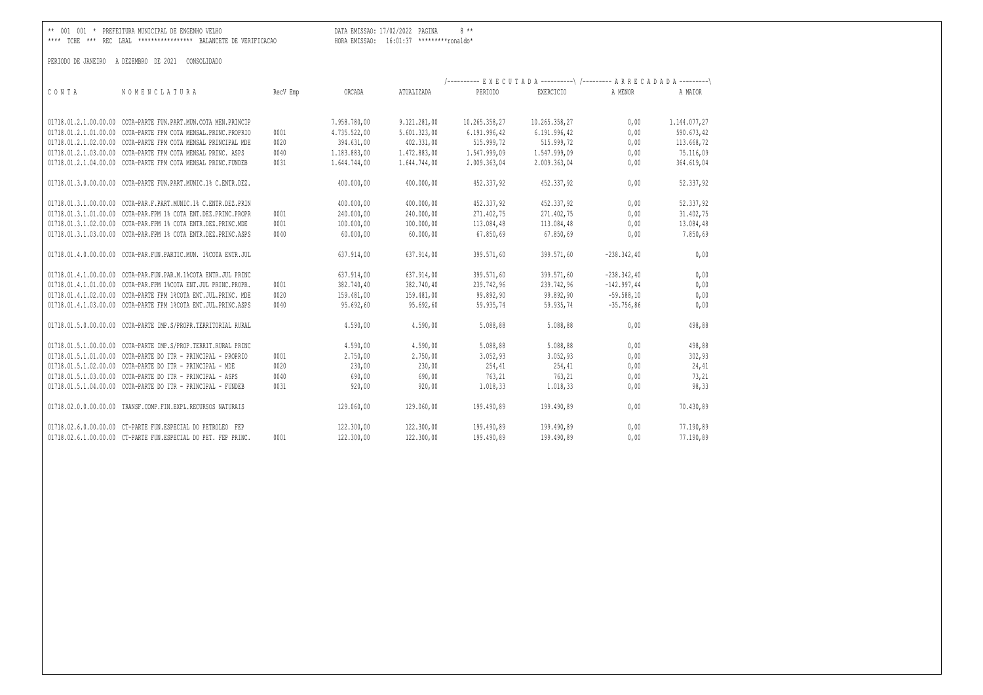\*\* 001 001 \* PREFEITURA MUNICIPAL DE ENGENHO VELHO DATA EMISSAO: 17/02/2022 PAGINA 8 \*\*

\*\*\*\* TCHE \*\*\* REC LBAL \*\*\*\*\*\*\*\*\*\*\*\*\*\*\*\*\* BALANCETE DE VERIFICACAO HORA EMISSAO: 16:01:37 \*\*\*\*\*\*\*\*\*ronaldo\*

|                       |                                                                |          |              |              | /---------- EXECUTADA ----------\ /--------- ARRECADADA ---------\ |                  |               |              |
|-----------------------|----------------------------------------------------------------|----------|--------------|--------------|--------------------------------------------------------------------|------------------|---------------|--------------|
| CONTA                 | NOMENCLATURA                                                   | RecV Emp | ORCADA       | ATUALIZADA   | PERIODO                                                            | <b>EXERCICIO</b> | A MENOR       | A MAIOR      |
|                       |                                                                |          |              |              |                                                                    |                  |               |              |
|                       | 01718.01.2.1.00.00.00 COTA-PARTE FUN.PART.MUN.COTA MEN.PRINCIP |          | 7.958.780,00 | 9.121.281,00 | 10.265.358,27                                                      | 10.265.358,27    | 0,00          | 1.144.077,27 |
|                       | 01718.01.2.1.01.00.00 COTA-PARTE FPM COTA MENSAL.PRINC.PROPRIO | 0001     | 4.735.522,00 | 5.601.323,00 | 6.191.996,42                                                       | 6.191.996,42     | 0,00          | 590.673,42   |
|                       | 01718.01.2.1.02.00.00 COTA-PARTE FPM COTA MENSAL PRINCIPAL MDE | 0020     | 394.631,00   | 402.331,00   | 515.999,72                                                         | 515.999,72       | 0,00          | 113.668,72   |
|                       | 01718.01.2.1.03.00.00 COTA-PARTE FPM COTA MENSAL PRINC. ASPS   | 0040     | 1.183.883,00 | 1.472.883,00 | 1.547.999,09                                                       | 1.547.999,09     | 0,00          | 75.116,09    |
|                       | 01718.01.2.1.04.00.00 COTA-PARTE FPM COTA MENSAL PRINC.FUNDEB  | 0031     | 1.644.744,00 | 1.644.744,00 | 2.009.363,04                                                       | 2.009.363,04     | 0,00          | 364.619,04   |
|                       |                                                                |          |              |              |                                                                    |                  |               |              |
|                       | 01718.01.3.0.00.00.00 COTA-PARTE FUN.PART.MUNIC.1% C.ENTR.DEZ. |          | 400.000,00   | 400.000,00   | 452.337,92                                                         | 452.337,92       | 0,00          | 52.337,92    |
|                       |                                                                |          |              |              |                                                                    |                  |               |              |
|                       | 01718.01.3.1.00.00.00 COTA-PAR.F.PART.MUNIC.1% C.ENTR.DEZ.PRIN |          | 400.000,00   | 400.000,00   | 452.337,92                                                         | 452.337,92       | 0,00          | 52.337,92    |
|                       | 01718.01.3.1.01.00.00 COTA-PAR.FPM 1% COTA ENT.DEZ.PRINC.PROPR | 0001     | 240.000,00   | 240.000,00   | 271.402,75                                                         | 271.402,75       | 0,00          | 31.402,75    |
|                       | 01718.01.3.1.02.00.00 COTA-PAR.FPM 1% COTA ENTR.DEZ.PRINC.MDE  | 0001     | 100.000,00   | 100.000,00   | 113.084,48                                                         | 113.084,48       | 0,00          | 13.084,48    |
|                       | 01718.01.3.1.03.00.00 COTA-PAR.FPM 1% COTA ENTR.DEZ.PRINC.ASPS | 0040     | 60,000,00    | 60.000,00    | 67.850,69                                                          | 67.850,69        | 0,00          | 7.850,69     |
|                       | 01718.01.4.0.00.00.00 COTA-PAR.FUN.PARTIC.MUN. 1%COTA ENTR.JUL |          | 637.914,00   | 637.914,00   | 399.571,60                                                         | 399.571,60       | $-238.342,40$ | 0,00         |
|                       |                                                                |          |              |              |                                                                    |                  |               |              |
|                       | 01718.01.4.1.00.00.00 COTA-PAR.FUN.PAR.M.1%COTA ENTR.JUL PRINC |          | 637.914,00   | 637.914,00   | 399.571,60                                                         | 399.571,60       | $-238.342,40$ | 0,00         |
|                       | 01718.01.4.1.01.00.00 COTA-PAR.FPM 1%COTA ENT.JUL PRINC.PROPR. | 0001     | 382.740,40   | 382.740,40   | 239.742,96                                                         | 239.742.96       | $-142.997.44$ | 0,00         |
|                       | 01718.01.4.1.02.00.00 COTA-PARTE FPM 1%COTA ENT.JUL.PRINC. MDE | 0020     | 159.481,00   | 159.481,00   | 99.892,90                                                          | 99.892,90        | $-59.588,10$  | 0,00         |
|                       | 01718.01.4.1.03.00.00 COTA-PARTE FPM 1%COTA ENT.JUL.PRINC.ASPS | 0040     | 95.692,60    | 95.692,60    | 59.935,74                                                          | 59.935,74        | $-35.756,86$  | 0,00         |
| 01718.01.5.0.00.00.00 | COTA-PARTE IMP.S/PROPR.TERRITORIAL RURAL                       |          | 4.590,00     | 4.590,00     | 5.088,88                                                           | 5.088,88         | 0,00          | 498,88       |
|                       |                                                                |          |              |              |                                                                    |                  |               |              |
| 01718.01.5.1.00.00.00 | COTA-PARTE IMP.S/PROP.TERRIT.RURAL PRINC                       |          | 4.590,00     | 4.590,00     | 5.088,88                                                           | 5.088,88         | 0,00          | 498,88       |
|                       | 01718.01.5.1.01.00.00 COTA-PARTE DO ITR - PRINCIPAL - PROPRIO  | 0001     | 2.750,00     | 2.750,00     | 3.052, 93                                                          | 3.052,93         | 0,00          | 302,93       |
|                       | 01718.01.5.1.02.00.00 COTA-PARTE DO ITR - PRINCIPAL - MDE      | 0020     | 230,00       | 230,00       | 254,41                                                             | 254,41           | 0,00          | 24,41        |
|                       | 01718.01.5.1.03.00.00 COTA-PARTE DO ITR - PRINCIPAL - ASPS     | 0040     | 690,00       | 690,00       | 763,21                                                             | 763,21           | 0,00          | 73,21        |
|                       | 01718.01.5.1.04.00.00 COTA-PARTE DO ITR - PRINCIPAL - FUNDEB   | 0031     | 920,00       | 920,00       | 1.018,33                                                           | 1.018,33         | 0,00          | 98,33        |
|                       |                                                                |          |              |              |                                                                    |                  |               |              |
| 01718.02.0.0.00.00.00 | TRANSF.COMP.FIN.EXPL.RECURSOS NATURAIS                         |          | 129.060,00   | 129.060,00   | 199.490,89                                                         | 199.490.89       | 0,00          | 70.430,89    |
|                       | 01718.02.6.0.00.00.00 CT-PARTE FUN.ESPECIAL DO PETROLEO FEP    |          | 122.300,00   | 122.300,00   | 199.490,89                                                         | 199.490,89       | 0,00          | 77.190,89    |
|                       | 01718.02.6.1.00.00.00 CT-PARTE FUN.ESPECIAL DO PET. FEP PRINC. | 0001     | 122.300,00   | 122.300,00   | 199.490,89                                                         | 199.490,89       | 0,00          | 77.190,89    |
|                       |                                                                |          |              |              |                                                                    |                  |               |              |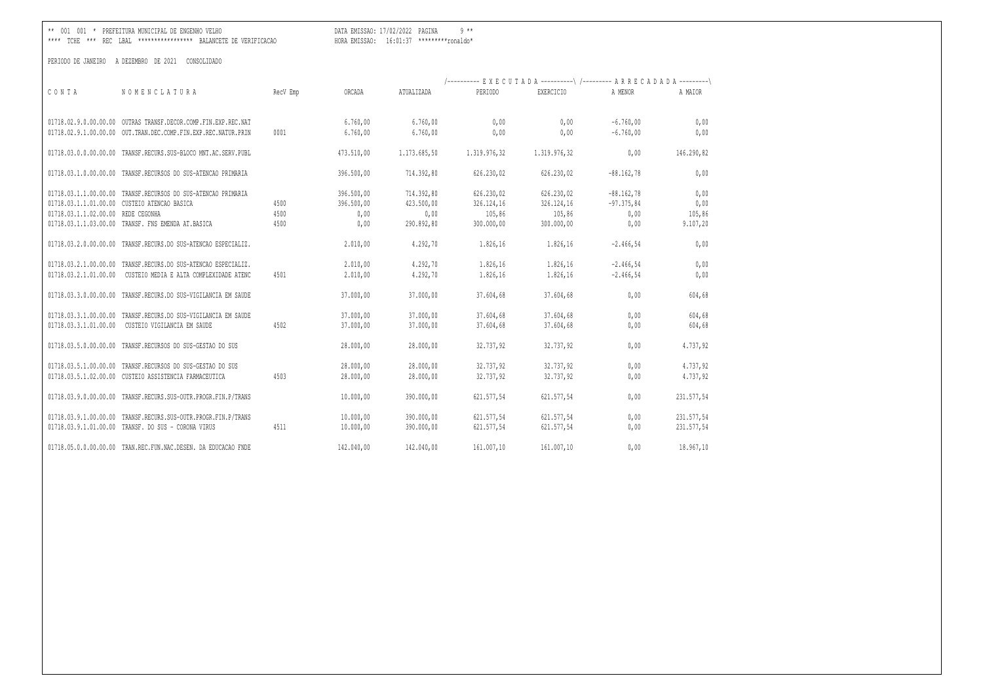\*\* 001 001 \* PREFEITURA MUNICIPAL DE ENGENHO VELHO DATA EMISSAO: 17/02/2022 PAGINA 9 \*\*

\*\*\*\* TCHE \*\*\* REC LBAL \*\*\*\*\*\*\*\*\*\*\*\*\*\*\*\*\* BALANCETE DE VERIFICACAO HORA EMISSAO: 16:01:37 \*\*\*\*\*\*\*\*\*ronaldo\*

|                                    |                                                                |          |            |              | /---------- EXECUTADA ----------\ /--------- ARRECADADA ---------\ |              |              |            |
|------------------------------------|----------------------------------------------------------------|----------|------------|--------------|--------------------------------------------------------------------|--------------|--------------|------------|
| CONTA                              | NOMENCLATURA                                                   | RecV Emp | ORCADA     | ATUALIZADA   | PERIODO                                                            | EXERCICIO    | A MENOR      | A MAIOR    |
|                                    | 01718.02.9.0.00.00.00 OUTRAS TRANSF.DECOR.COMP.FIN.EXP.REC.NAT |          | 6.760,00   | 6.760,00     | 0,00                                                               | 0,00         | $-6.760,00$  | 0,00       |
|                                    | 01718.02.9.1.00.00.00 OUT.TRAN.DEC.COMP.FIN.EXP.REC.NATUR.PRIN | 0001     | 6.760,00   | 6.760,00     | 0,00                                                               | 0.00         | $-6.760,00$  | 0,00       |
|                                    | 01718.03.0.0.00.00.00 TRANSF.RECURS.SUS-BLOCO MNT.AC.SERV.PUBL |          | 473.510,00 | 1.173.685,50 | 1.319.976,32                                                       | 1.319.976,32 | 0,00         | 146.290,82 |
|                                    | 01718.03.1.0.00.00.00 TRANSF.RECURSOS DO SUS-ATENCAO PRIMARIA  |          | 396.500,00 | 714,392,80   | 626.230,02                                                         | 626.230,02   | $-88.162,78$ | 0,00       |
|                                    | 01718.03.1.1.00.00.00 TRANSF.RECURSOS DO SUS-ATENCAO PRIMARIA  |          | 396.500,00 | 714.392,80   | 626.230,02                                                         | 626.230,02   | $-88.162,78$ | 0,00       |
|                                    | 01718.03.1.1.01.00.00 CUSTEIO ATENCAO BASICA                   | 4500     | 396.500,00 | 423.500,00   | 326.124,16                                                         | 326.124,16   | $-97.375,84$ | 0,00       |
| 01718.03.1.1.02.00.00 REDE CEGONHA |                                                                | 4500     | 0,00       | 0,00         | 105,86                                                             | 105,86       | 0,00         | 105,86     |
|                                    | 01718.03.1.1.03.00.00 TRANSF. FNS EMENDA AT.BASICA             | 4500     | 0,00       | 290.892,80   | 300.000,00                                                         | 300.000,00   | 0,00         | 9.107, 20  |
| 01718.03.2.0.00.00.00              | TRANSF.RECURS.DO SUS-ATENCAO ESPECIALIZ.                       |          | 2.010,00   | 4.292,70     | 1.826,16                                                           | 1.826,16     | $-2.466, 54$ | 0,00       |
|                                    | 01718.03.2.1.00.00.00 TRANSF.RECURS.DO SUS-ATENCAO ESPECIALIZ. |          | 2.010,00   | 4.292,70     | 1.826,16                                                           | 1.826,16     | $-2.466, 54$ | 0,00       |
| 01718.03.2.1.01.00.00              | CUSTEIO MEDIA E ALTA COMPLEXIDADE ATENC                        | 4501     | 2.010,00   | 4.292,70     | 1.826,16                                                           | 1.826,16     | $-2.466, 54$ | 0,00       |
| 01718.03.3.0.00.00.00              | TRANSF.RECURS.DO SUS-VIGILANCIA EM SAUDE                       |          | 37.000,00  | 37.000,00    | 37.604,68                                                          | 37.604,68    | 0,00         | 604,68     |
| 01718.03.3.1.00.00.00              | TRANSF.RECURS.DO SUS-VIGILANCIA EM SAUDE                       |          | 37.000,00  | 37.000,00    | 37.604,68                                                          | 37.604,68    | 0,00         | 604,68     |
| 01718.03.3.1.01.00.00              | CUSTEIO VIGILANCIA EM SAUDE                                    | 4502     | 37.000,00  | 37.000,00    | 37.604,68                                                          | 37.604,68    | 0,00         | 604,68     |
| 01718.03.5.0.00.00.00              | TRANSF.RECURSOS DO SUS-GESTAO DO SUS                           |          | 28.000,00  | 28.000,00    | 32.737,92                                                          | 32.737,92    | 0,00         | 4.737,92   |
| 01718.03.5.1.00.00.00              | TRANSF.RECURSOS DO SUS-GESTAO DO SUS                           |          | 28.000,00  | 28.000,00    | 32.737,92                                                          | 32.737,92    | 0,00         | 4.737,92   |
|                                    | 01718.03.5.1.02.00.00 CUSTEIO ASSISTENCIA FARMACEUTICA         | 4503     | 28.000,00  | 28.000,00    | 32.737,92                                                          | 32.737,92    | 0,00         | 4.737,92   |
|                                    | 01718.03.9.0.00.00.00 TRANSF.RECURS.SUS-OUTR.PROGR.FIN.P/TRANS |          | 10.000,00  | 390.000,00   | 621.577,54                                                         | 621.577,54   | 0,00         | 231.577,54 |
|                                    | 01718.03.9.1.00.00.00 TRANSF.RECURS.SUS-OUTR.PROGR.FIN.P/TRANS |          | 10.000,00  | 390.000,00   | 621.577,54                                                         | 621.577,54   | 0,00         | 231.577,54 |
|                                    | 01718.03.9.1.01.00.00 TRANSF. DO SUS - CORONA VIRUS            | 4511     | 10.000,00  | 390.000,00   | 621.577,54                                                         | 621.577,54   | 0,00         | 231.577,54 |
|                                    | 01718.05.0.0.00.00.00 TRAN.REC.FUN.NAC.DESEN. DA EDUCACAO FNDE |          | 142.040,00 | 142.040,00   | 161.007,10                                                         | 161.007,10   | 0,00         | 18.967,10  |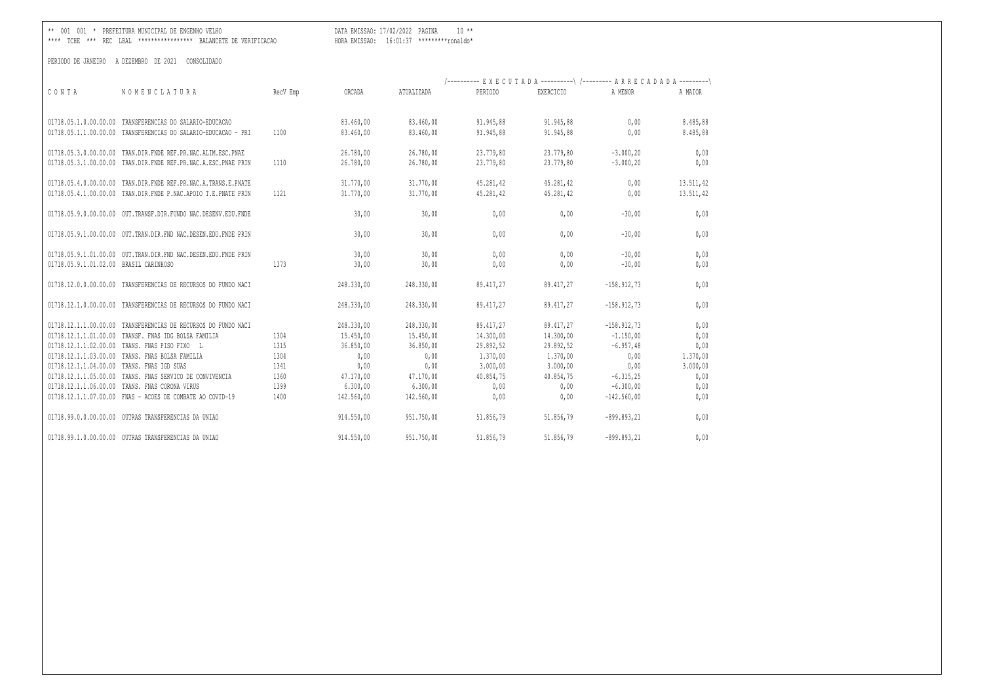\*\* 001 001 \* PREFEITURA MUNICIPAL DE ENGENHO VELHO DATA EMISSAO: 17/02/2022 PAGINA 10 \*\*

\*\*\*\* TCHE \*\*\* REC LBAL \*\*\*\*\*\*\*\*\*\*\*\*\*\*\*\*\* BALANCETE DE VERIFICACAO HORA EMISSAO: 16:01:37 \*\*\*\*\*\*\*\*\*ronaldo\*

| CONTA                                                                   | NOMENCLATURA                                                                                               | RecV Emp     | ORCADA                               | ATUALIZADA                           | /---------- EXECUTADA ----------\ /--------- ARRECADADA ---------\<br>PERIODO | EXERCICIO                           | A MENOR                                      | A MAIOR                |
|-------------------------------------------------------------------------|------------------------------------------------------------------------------------------------------------|--------------|--------------------------------------|--------------------------------------|-------------------------------------------------------------------------------|-------------------------------------|----------------------------------------------|------------------------|
| 01718.05.1.1.00.00.00                                                   | 01718.05.1.0.00.00.00 TRANSFERENCIAS DO SALARIO-EDUCACAO<br>TRANSFERENCIAS DO SALARIO-EDUCACAO - PRI       | 1100         | 83.460,00<br>83.460,00               | 83.460,00<br>83.460,00               | 91.945,88<br>91.945,88                                                        | 91.945,88<br>91.945,88              | 0,00<br>0,00                                 | 8.485,88<br>8.485,88   |
| 01718.05.3.0.00.00.00<br>01718.05.3.1.00.00.00                          | TRAN.DIR.FNDE REF.PR.NAC.ALIM.ESC.PNAE<br>TRAN.DIR.FNDE REF.PR.NAC.A.ESC.PNAE PRIN                         | 1110         | 26.780,00<br>26.780,00               | 26.780,00<br>26.780,00               | 23.779.80<br>23.779,80                                                        | 23.779,80<br>23.779,80              | $-3.000, 20$<br>$-3.000, 20$                 | 0,00<br>0,00           |
| 01718.05.4.0.00.00.00                                                   | TRAN.DIR.FNDE REF.PR.NAC.A.TRANS.E.PNATE<br>01718.05.4.1.00.00.00 TRAN.DIR.FNDE P.NAC.APOIO T.E.PNATE PRIN | 1121         | 31.770,00<br>31.770,00               | 31.770,00<br>31.770,00               | 45.281,42<br>45.281,42                                                        | 45.281,42<br>45.281,42              | 0,00<br>0,00                                 | 13.511,42<br>13.511,42 |
|                                                                         | 01718.05.9.0.00.00.00 OUT.TRANSF.DIR.FUNDO NAC.DESENV.EDU.FNDE                                             |              | 30,00                                | 30,00                                | 0,00                                                                          | 0,00                                | $-30,00$                                     | 0,00                   |
| 01718.05.9.1.00.00.00                                                   | OUT. TRAN. DIR. FND NAC. DESEN. EDU. FNDE PRIN                                                             |              | 30,00                                | 30,00                                | 0,00                                                                          | 0,00                                | $-30,00$                                     | 0,00                   |
| 01718.05.9.1.01.00.00<br>01718.05.9.1.01.02.00                          | OUT. TRAN. DIR. FND NAC. DESEN. EDU. FNDE PRIN<br>BRASIL CARINHOSO                                         | 1373         | 30,00<br>30,00                       | 30,00<br>30,00                       | 0,00<br>0,00                                                                  | 0,00<br>0,00                        | $-30,00$<br>$-30,00$                         | 0,00<br>0,00           |
| 01718.12.0.0.00.00.00                                                   | TRANSFERENCIAS DE RECURSOS DO FUNDO NACI                                                                   |              | 248.330,00                           | 248.330,00                           | 89.417,27                                                                     | 89.417,27                           | $-158.912,73$                                | 0,00                   |
| 01718.12.1.0.00.00.00                                                   | TRANSFERENCIAS DE RECURSOS DO FUNDO NACI                                                                   |              | 248.330,00                           | 248.330,00                           | 89.417,27                                                                     | 89.417,27                           | $-158.912,73$                                | 0,00                   |
| 01718.12.1.1.00.00.00<br>01718.12.1.1.01.00.00<br>01718.12.1.1.02.00.00 | TRANSFERENCIAS DE RECURSOS DO FUNDO NACI<br>TRANSF. FNAS IDG BOLSA FAMILIA<br>TRANS. FNAS PISO FIXO<br>- L | 1304<br>1315 | 248.330,00<br>15.450,00<br>36.850,00 | 248.330,00<br>15.450,00<br>36.850,00 | 89.417,27<br>14.300,00<br>29.892,52                                           | 89.417,27<br>14.300,00<br>29.892,52 | $-158.912,73$<br>$-1.150,00$<br>$-6.957, 48$ | 0,00<br>0,00<br>0,00   |
| 01718.12.1.1.03.00.00                                                   | TRANS. FNAS BOLSA FAMILIA                                                                                  | 1304         | 0,00                                 | 0,00                                 | 1,370,00                                                                      | 1.370,00                            | 0,00                                         | 1.370,00               |
| 01718.12.1.1.04.00.00                                                   | TRANS. FNAS IGD SUAS                                                                                       | 1341         | 0,00                                 | 0,00                                 | 3.000,00                                                                      | 3.000,00                            | 0,00                                         | 3.000,00               |
| 01718.12.1.1.05.00.00<br>01718.12.1.1.06.00.00                          | TRANS. FNAS SERVICO DE CONVIVENCIA<br>TRANS. FNAS CORONA VIRUS                                             | 1360<br>1399 | 47.170,00<br>6.300,00                | 47.170,00<br>6.300,00                | 40.854,75<br>0,00                                                             | 40.854,75<br>0,00                   | $-6.315,25$<br>$-6.300,00$                   | 0,00<br>0,00           |
|                                                                         | 01718.12.1.1.07.00.00 FNAS - ACOES DE COMBATE AO COVID-19                                                  | 1400         | 142.560,00                           | 142.560,00                           | 0,00                                                                          | 0,00                                | $-142.560,00$                                | 0,00                   |
| 01718.99.0.0.00.00.00                                                   | OUTRAS TRANSFERENCIAS DA UNIAO                                                                             |              | 914.550,00                           | 951.750,00                           | 51.856,79                                                                     | 51.856,79                           | $-899.893, 21$                               | 0,00                   |
|                                                                         | 01718.99.1.0.00.00.00 OUTRAS TRANSFERENCIAS DA UNIAO                                                       |              | 914.550,00                           | 951.750,00                           | 51.856,79                                                                     | 51.856,79                           | $-899.893.21$                                | 0,00                   |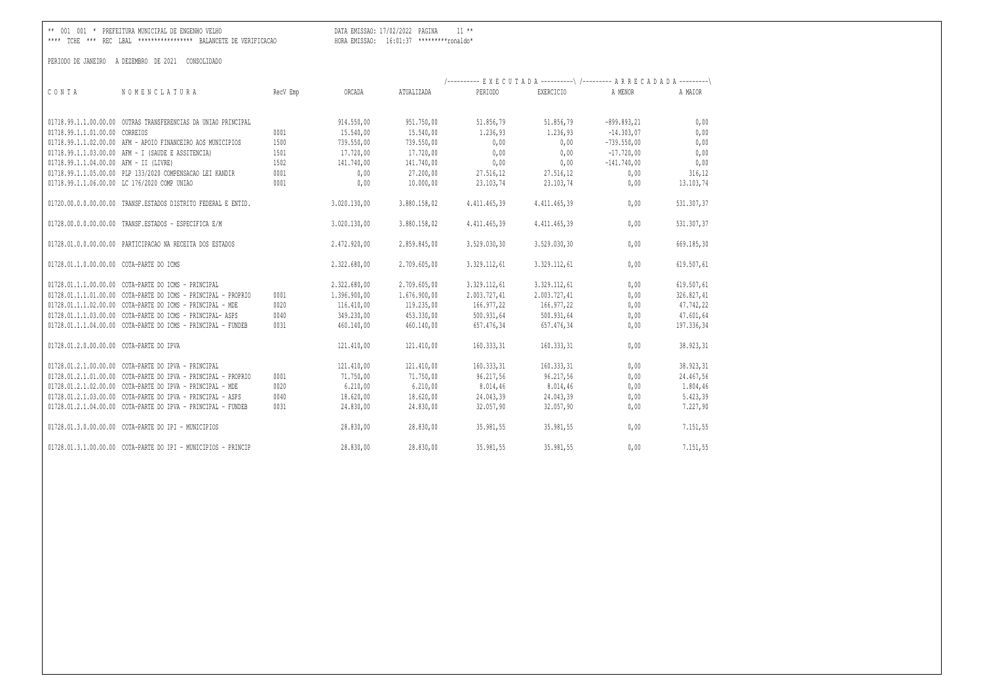DATA EMISSAO: 17/02/2022 PAGINA 11 \*\* 

|                                          |                                                                |          |              |              | /---------- EXECUTADA ----------\ /--------- ARRECADADA ---------\ |              |                |            |
|------------------------------------------|----------------------------------------------------------------|----------|--------------|--------------|--------------------------------------------------------------------|--------------|----------------|------------|
| CONTA                                    | NOMENCLATURA                                                   | RecV Emp | ORCADA       | ATUALIZADA   | PERIODO                                                            | EXERCICIO    | A MENOR        | A MAIOR    |
|                                          | 01718.99.1.1.00.00.00 OUTRAS TRANSFERENCIAS DA UNIAO PRINCIPAL |          | 914.550,00   | 951.750,00   | 51.856,79                                                          | 51.856,79    | $-899.893, 21$ | 0,00       |
| 01718.99.1.1.01.00.00 CORREIOS           |                                                                | 0001     | 15.540,00    | 15.540,00    | 1.236,93                                                           | 1.236,93     | $-14.303.07$   | 0,00       |
|                                          | 01718.99.1.1.02.00.00 AFM - APOIO FINANCEIRO AOS MUNICIPIOS    | 1500     | 739.550,00   | 739.550,00   | 0,00                                                               | 0.00         | $-739.550,00$  | 0,00       |
|                                          | 01718.99.1.1.03.00.00 AFM - I (SAUDE E ASSITENCIA)             | 1501     | 17.720,00    | 17.720,00    | 0,00                                                               | 0,00         | $-17,720,00$   | 0,00       |
| 01718.99.1.1.04.00.00 AFM - II (LIVRE)   |                                                                | 1502     | 141.740,00   | 141.740,00   | 0,00                                                               | 0,00         | $-141.740,00$  | 0,00       |
|                                          | 01718.99.1.1.05.00.00 PLP 133/2020 COMPENSACAO LEI KANDIR      | 0001     | 0,00         | 27.200,00    | 27.516,12                                                          | 27.516,12    | 0,00           | 316,12     |
|                                          | 01718.99.1.1.06.00.00 LC 176/2020 COMP UNIAO                   | 0001     | 0,00         | 10.000,00    | 23.103,74                                                          | 23.103,74    | 0,00           | 13.103,74  |
|                                          | 01720.00.0.0.00.00.00 TRANSF.ESTADOS DISTRITO FEDERAL E ENTID. |          | 3.020.130,00 | 3.880.158,02 | 4.411.465,39                                                       | 4.411.465,39 | 0,00           | 531.307,37 |
|                                          | 01728.00.0.0.00.00.00 TRANSF.ESTADOS - ESPECIFICA E/M          |          | 3.020.130,00 | 3.880.158,02 | 4.411.465,39                                                       | 4.411.465.39 | 0,00           | 531.307,37 |
|                                          | 01728.01.0.0.00.00.00 PARTICIPACAO NA RECEITA DOS ESTADOS      |          | 2.472.920,00 | 2.859.845,00 | 3.529.030,30                                                       | 3.529.030,30 | 0,00           | 669.185,30 |
| 01728.01.1.0.00.00.00 COTA-PARTE DO ICMS |                                                                |          | 2.322.680,00 | 2.709.605,00 | 3.329.112,61                                                       | 3.329.112,61 | 0,00           | 619.507,61 |
|                                          | 01728.01.1.1.00.00.00 COTA-PARTE DO ICMS - PRINCIPAL           |          | 2.322.680,00 | 2.709.605,00 | 3.329.112,61                                                       | 3.329.112,61 | 0,00           | 619.507,61 |
|                                          | 01728.01.1.1.01.00.00 COTA-PARTE DO ICMS - PRINCIPAL - PROPRIO | 0001     | 1.396.900,00 | 1,676,900,00 | 2.003.727,41                                                       | 2.003.727,41 | 0,00           | 326.827,41 |
|                                          | 01728.01.1.1.02.00.00 COTA-PARTE DO ICMS - PRINCIPAL - MDE     | 0020     | 116.410,00   | 119.235,00   | 166.977,22                                                         | 166.977,22   | 0,00           | 47.742,22  |
|                                          | 01728.01.1.1.03.00.00 COTA-PARTE DO ICMS - PRINCIPAL- ASPS     | 0040     | 349.230,00   | 453.330,00   | 500.931,64                                                         | 500.931,64   | 0,00           | 47.601,64  |
|                                          | 01728.01.1.1.04.00.00 COTA-PARTE DO ICMS - PRINCIPAL - FUNDEB  | 0031     | 460.140,00   | 460.140,00   | 657.476,34                                                         | 657.476,34   | 0,00           | 197.336,34 |
| 01728.01.2.0.00.00.00 COTA-PARTE DO IPVA |                                                                |          | 121.410,00   | 121,410,00   | 160.333,31                                                         | 160.333,31   | 0,00           | 38.923,31  |
|                                          | 01728.01.2.1.00.00.00 COTA-PARTE DO IPVA - PRINCIPAL           |          | 121.410,00   | 121.410,00   | 160.333,31                                                         | 160.333,31   | 0,00           | 38.923,31  |
|                                          | 01728.01.2.1.01.00.00 COTA-PARTE DO IPVA - PRINCIPAL - PROPRIO | 0001     | 71.750,00    | 71.750,00    | 96.217,56                                                          | 96.217,56    | 0,00           | 24.467,56  |
|                                          | 01728.01.2.1.02.00.00 COTA-PARTE DO IPVA - PRINCIPAL - MDE     | 0020     | 6.210,00     | 6.210,00     | 8.014,46                                                           | 8.014,46     | 0,00           | 1.804,46   |
|                                          | 01728.01.2.1.03.00.00 COTA-PARTE DO IPVA - PRINCIPAL - ASPS    | 0040     | 18.620,00    | 18.620,00    | 24.043,39                                                          | 24.043,39    | 0,00           | 5.423, 39  |
|                                          | 01728.01.2.1.04.00.00 COTA-PARTE DO IPVA - PRINCIPAL - FUNDEB  | 0031     | 24.830,00    | 24.830,00    | 32.057,90                                                          | 32.057,90    | 0,00           | 7.227,90   |
|                                          | 01728.01.3.0.00.00.00 COTA-PARTE DO IPI - MUNICIPIOS           |          | 28.830,00    | 28.830,00    | 35.981,55                                                          | 35.981,55    | 0,00           | 7.151,55   |
|                                          | 01728.01.3.1.00.00.00 COTA-PARTE DO IPI - MUNICIPIOS - PRINCIP |          | 28.830,00    | 28.830,00    | 35.981,55                                                          | 35.981,55    | 0.00           | 7.151,55   |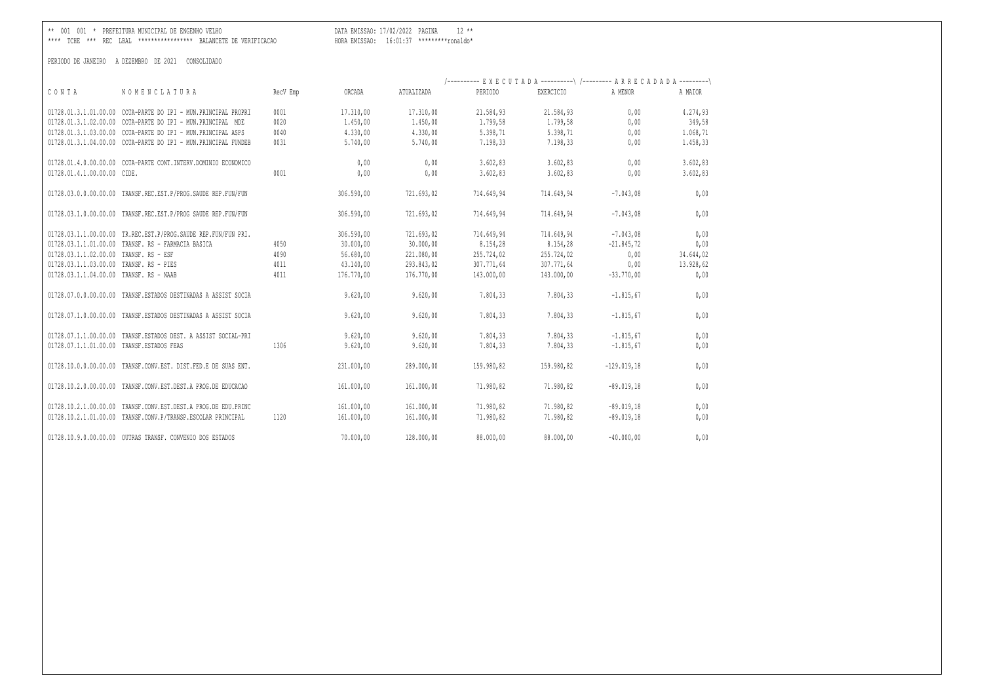\*\* 001 001 \* PREFEITURA MUNICIPAL DE ENGENHO VELHO DATA EMISSAO: 17/02/2022 PAGINA 12 \*\*

\*\*\*\* TCHE \*\*\* REC LBAL \*\*\*\*\*\*\*\*\*\*\*\*\*\*\*\*\* BALANCETE DE VERIFICACAO HORA EMISSAO: 16:01:37 \*\*\*\*\*\*\*\*\*ronaldo\*

|                                                                   |          |            |            |            | /---------- EXECUTADA ----------\ /--------- ARRECADADA ---------\ |               |           |
|-------------------------------------------------------------------|----------|------------|------------|------------|--------------------------------------------------------------------|---------------|-----------|
| CONTA<br>NOMENCLATURA                                             | RecV Emp | ORCADA     | ATUALIZADA | PERIODO    | EXERCICIO                                                          | A MENOR       | A MAIOR   |
| 01728.01.3.1.01.00.00 COTA-PARTE DO IPI - MUN.PRINCIPAL PROPRI    | 0001     | 17.310,00  | 17.310,00  | 21.584,93  | 21.584,93                                                          | 0,00          | 4.274,93  |
| 01728.01.3.1.02.00.00 COTA-PARTE DO IPI - MUN.PRINCIPAL MDE       | 0020     | 1,450,00   | 1.450,00   | 1.799,58   | 1,799,58                                                           | 0,00          | 349,58    |
| 01728.01.3.1.03.00.00 COTA-PARTE DO IPI - MUN.PRINCIPAL ASPS      | 0040     | 4.330,00   | 4.330,00   | 5.398,71   | 5.398,71                                                           | 0,00          | 1.068,71  |
| 01728.01.3.1.04.00.00 COTA-PARTE DO IPI - MUN.PRINCIPAL FUNDEB    | 0031     | 5.740,00   | 5.740,00   | 7.198,33   | 7.198,33                                                           | 0,00          | 1.458,33  |
| 01728.01.4.0.00.00.00 COTA-PARTE CONT.INTERV.DOMINIO ECONOMICO    |          | 0,00       | 0,00       | 3.602, 83  | 3.602, 83                                                          | 0,00          | 3.602,83  |
| 01728.01.4.1.00.00.00 CIDE.                                       | 0001     | 0,00       | 0,00       | 3.602, 83  | 3.602, 83                                                          | 0,00          | 3.602, 83 |
| 01728.03.0.0.00.00.00 TRANSF.REC.EST.P/PROG.SAUDE REP.FUN/FUN     |          | 306.590,00 | 721.693,02 | 714.649,94 | 714.649,94                                                         | $-7.043,08$   | 0,00      |
| 01728.03.1.0.00.00.00 TRANSF.REC.EST.P/PROG SAUDE REP.FUN/FUN     |          | 306.590,00 | 721.693,02 | 714.649,94 | 714.649,94                                                         | $-7.043,08$   | 0,00      |
| 01728.03.1.1.00.00.00 TR.REC.EST.P/PROG.SAUDE REP.FUN/FUN PRI.    |          | 306.590,00 | 721.693,02 | 714.649,94 | 714.649,94                                                         | $-7.043,08$   | 0,00      |
| 01728.03.1.1.01.00.00 TRANSF. RS - FARMACIA BASICA                | 4050     | 30.000,00  | 30.000,00  | 8.154,28   | 8.154,28                                                           | $-21.845.72$  | 0,00      |
| 01728.03.1.1.02.00.00 TRANSF. RS - ESF                            | 4090     | 56.680,00  | 221.080,00 | 255.724,02 | 255.724,02                                                         | 0,00          | 34.644,02 |
| 01728.03.1.1.03.00.00 TRANSF. RS - PIES                           | 4011     | 43.140,00  | 293.843,02 | 307.771,64 | 307.771,64                                                         | 0,00          | 13.928,62 |
| 01728.03.1.1.04.00.00 TRANSF. RS - NAAB                           | 4011     | 176.770.00 | 176,770,00 | 143.000,00 | 143.000,00                                                         | $-33,770,00$  | 0,00      |
| 01728.07.0.0.00.00.00<br>TRANSF.ESTADOS DESTINADAS A ASSIST SOCIA |          | 9.620,00   | 9.620,00   | 7.804,33   | 7.804,33                                                           | $-1.815, 67$  | 0,00      |
| 01728.07.1.0.00.00.00 TRANSF.ESTADOS DESTINADAS A ASSIST SOCIA    |          | 9.620.00   | 9.620.00   | 7.804.33   | 7.804.33                                                           | $-1.815.67$   | 0,00      |
| 01728.07.1.1.00.00.00 TRANSF.ESTADOS DEST. A ASSIST SOCIAL-PRI    |          | 9.620,00   | 9.620,00   | 7.804,33   | 7.804,33                                                           | $-1.815,67$   | 0,00      |
| 01728.07.1.1.01.00.00 TRANSF.ESTADOS FEAS                         | 1306     | 9.620,00   | 9.620,00   | 7.804,33   | 7.804,33                                                           | $-1.815,67$   | 0,00      |
| 01728.10.0.0.00.00.00 TRANSF.CONV.EST. DIST.FED.E DE SUAS ENT.    |          | 231.000,00 | 289.000,00 | 159.980,82 | 159.980.82                                                         | $-129.019.18$ | 0,00      |
| 01728.10.2.0.00.00.00 TRANSF.CONV.EST.DEST.A PROG.DE EDUCACAO     |          | 161.000,00 | 161.000,00 | 71.980,82  | 71.980,82                                                          | $-89.019,18$  | 0,00      |
| 01728.10.2.1.00.00.00 TRANSF.CONV.EST.DEST.A PROG.DE EDU.PRINC    |          | 161.000,00 | 161.000,00 | 71.980,82  | 71.980,82                                                          | $-89.019,18$  | 0,00      |
| 01728.10.2.1.01.00.00 TRANSF.CONV.P/TRANSP.ESCOLAR PRINCIPAL      | 1120     | 161.000,00 | 161.000,00 | 71.980,82  | 71.980,82                                                          | $-89.019,18$  | 0,00      |
| 01728.10.9.0.00.00.00 OUTRAS TRANSF. CONVENIO DOS ESTADOS         |          | 70,000,00  | 128,000,00 | 88,000,00  | 88,000,00                                                          | $-40.000.00$  | 0,00      |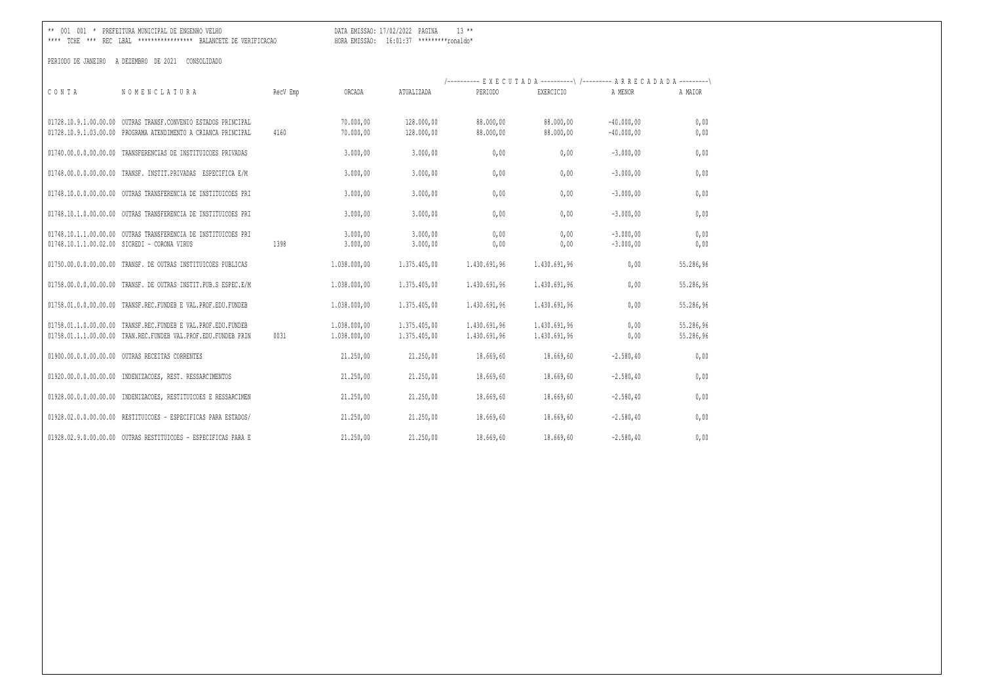\*\* 001 001 \* PREFEITURA MUNICIPAL DE ENGENHO VELHO DATA EMISSAO: 17/02/2022 PAGINA 13 \*\*

\*\*\*\* TCHE \*\*\* REC LBAL \*\*\*\*\*\*\*\*\*\*\*\*\*\*\*\*\* BALANCETE DE VERIFICACAO HORA EMISSAO: 16:01:37 \*\*\*\*\*\*\*\*\*ronaldo\*

|                          |                                                                                                                                  |          |                        |                          | /---------- EXECUTADA ----------\ /--------- ARRECADADA ---------\ |                        |                              |              |
|--------------------------|----------------------------------------------------------------------------------------------------------------------------------|----------|------------------------|--------------------------|--------------------------------------------------------------------|------------------------|------------------------------|--------------|
| CONTA                    | NOMENCLATURA                                                                                                                     | RecV Emp | ORCADA                 | ATUALIZADA               | PERIODO                                                            | EXERCICIO              | A MENOR                      | A MAIOR      |
|                          |                                                                                                                                  |          |                        |                          |                                                                    |                        |                              |              |
|                          | 01728.10.9.1.00.00.00 OUTRAS TRANSF.CONVENIO ESTADOS PRINCIPAL<br>01728.10.9.1.03.00.00 PROGRAMA ATENDIMENTO A CRIANCA PRINCIPAL | 4160     | 70.000,00<br>70.000,00 | 128.000,00<br>128.000,00 | 88,000,00<br>88,000,00                                             | 88.000,00<br>88.000,00 | $-40.000,00$<br>$-40.000,00$ | 0,00<br>0,00 |
|                          |                                                                                                                                  |          |                        |                          |                                                                    |                        |                              |              |
| 01740.00.0.0.00.00.00.00 | TRANSFERENCIAS DE INSTITUICOES PRIVADAS                                                                                          |          | 3.000,00               | 3.000,00                 | 0,00                                                               | 0,00                   | $-3.000,00$                  | 0,00         |
|                          | 01748.00.0.0.00.00.00 TRANSF. INSTIT.PRIVADAS ESPECIFICA E/M                                                                     |          | 3.000,00               | 3.000,00                 | 0,00                                                               | 0,00                   | $-3.000,00$                  | 0,00         |
|                          | 01748.10.0.0.00.00.00 OUTRAS TRANSFERENCIA DE INSTITUICOES PRI                                                                   |          | 3.000,00               | 3.000,00                 | 0,00                                                               | 0,00                   | $-3.000,00$                  | 0,00         |
| 01748.10.1.0.00.00.00    | OUTRAS TRANSFERENCIA DE INSTITUICOES PRI                                                                                         |          | 3.000,00               | 3.000,00                 | 0,00                                                               | 0,00                   | $-3.000,00$                  | 0,00         |
|                          | 01748.10.1.1.00.00.00 OUTRAS TRANSFERENCIA DE INSTITUICOES PRI                                                                   |          | 3.000,00               | 3.000,00                 | 0,00                                                               | 0,00                   | $-3.000,00$                  | 0,00         |
|                          | 01748.10.1.1.00.02.00 SICREDI - CORONA VIRUS                                                                                     | 1398     | 3.000,00               | 3.000,00                 | 0,00                                                               | 0,00                   | $-3.000,00$                  | 0,00         |
| 01750.00.0.0.00.00.00    | TRANSF. DE OUTRAS INSTITUICOES PUBLICAS                                                                                          |          | 1.038.000,00           | 1,375,405,00             | 1.430.691.96                                                       | 1.430.691,96           | 0,00                         | 55.286,96    |
| 01758.00.0.0.00.00.00    | TRANSF. DE OUTRAS INSTIT.PUB.S ESPEC.E/M                                                                                         |          | 1.038.000,00           | 1.375.405,00             | 1.430.691,96                                                       | 1.430.691,96           | 0,00                         | 55.286,96    |
| 01758.01.0.0.00.00.00    | TRANSF.REC.FUNDEB E VAL.PROF.EDU.FUNDEB                                                                                          |          | 1.038.000,00           | 1.375.405,00             | 1.430.691.96                                                       | 1.430.691.96           | 0,00                         | 55.286,96    |
|                          | 01758.01.1.0.00.00.00 TRANSF.REC.FUNDEB E VAL.PROF.EDU.FUNDEB                                                                    |          | 1.038.000,00           | 1.375.405,00             | 1.430.691,96                                                       | 1.430.691,96           | 0,00                         | 55.286,96    |
|                          | 01758.01.1.1.00.00.00 TRAN.REC.FUNDEB VAL.PROF.EDU.FUNDEB PRIN                                                                   | 0031     | 1.038.000,00           | 1.375.405,00             | 1.430.691,96                                                       | 1.430.691,96           | 0,00                         | 55.286,96    |
|                          | 01900.00.0.0.00.00.00 OUTRAS RECEITAS CORRENTES                                                                                  |          | 21.250.00              | 21.250,00                | 18.669.60                                                          | 18.669.60              | $-2.580, 40$                 | 0,00         |
|                          | 01920.00.0.0.00.00.00 INDENIZACOES, REST. RESSARCIMENTOS                                                                         |          | 21.250,00              | 21.250,00                | 18.669,60                                                          | 18.669,60              | $-2.580, 40$                 | 0,00         |
|                          | 01928.00.0.0.00.00.00 INDENIZACOES, RESTITUICOES E RESSARCIMEN                                                                   |          | 21.250,00              | 21.250,00                | 18.669,60                                                          | 18.669,60              | $-2.580, 40$                 | 0,00         |
| 01928.02.0.0.00.00.00    | RESTITUICOES - ESPECIFICAS PARA ESTADOS/                                                                                         |          | 21.250,00              | 21.250,00                | 18.669,60                                                          | 18.669,60              | $-2.580, 40$                 | 0,00         |
|                          | 01928.02.9.0.00.00.00 OUTRAS RESTITUICOES - ESPECIFICAS PARA E                                                                   |          | 21.250,00              | 21.250,00                | 18.669,60                                                          | 18.669,60              | $-2.580, 40$                 | 0,00         |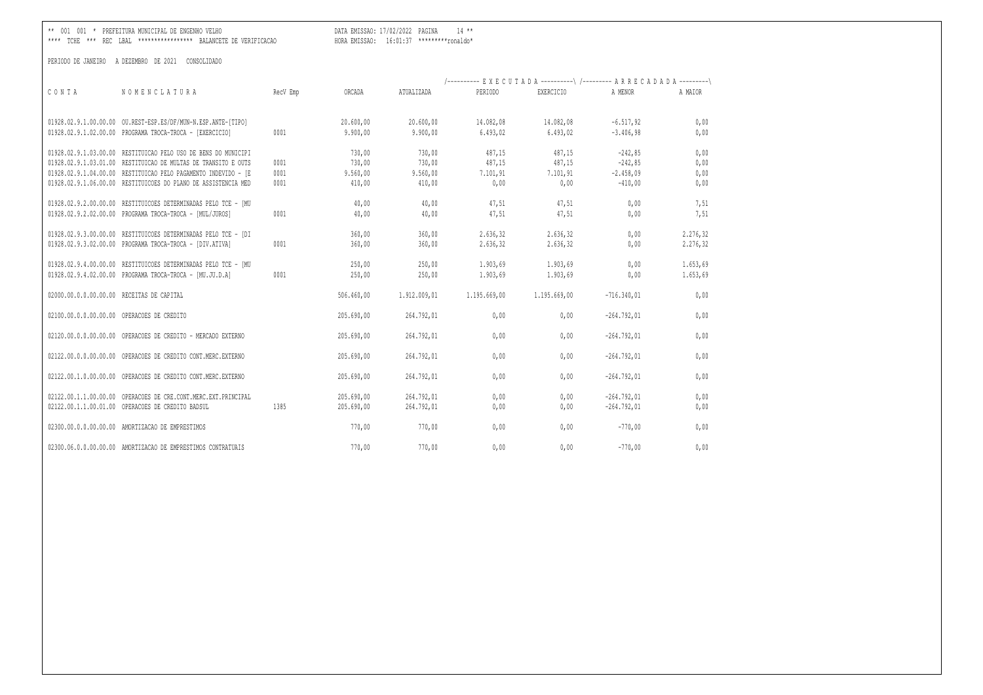\*\* 001 001 \* PREFEITURA MUNICIPAL DE ENGENHO VELHO DATA EMISSAO: 17/02/2022 PAGINA 14 \*\*

\*\*\*\* TCHE \*\*\* REC LBAL \*\*\*\*\*\*\*\*\*\*\*\*\*\*\*\*\* BALANCETE DE VERIFICACAO HORA EMISSAO: 16:01:37 \*\*\*\*\*\*\*\*\*ronaldo\*

|       |                                                                                                                            |          |                |                | /---------- EXECUTADA ----------\ /--------- ARRECADADA ---------\ |                  |               |              |  |
|-------|----------------------------------------------------------------------------------------------------------------------------|----------|----------------|----------------|--------------------------------------------------------------------|------------------|---------------|--------------|--|
| CONTA | NOMENCLATURA                                                                                                               | RecV Emp | ORCADA         | ATUALIZADA     | PERTODO                                                            | <b>EXERCICIO</b> | A MENOR       | A MATOR      |  |
|       |                                                                                                                            |          |                |                |                                                                    |                  |               |              |  |
|       | 01928.02.9.1.00.00.00 OU.REST-ESP.ES/DF/MUN-N.ESP.ANTE-[TIPO]                                                              |          | 20.600,00      | 20.600,00      | 14.082,08                                                          | 14.082,08        | $-6.517,92$   | 0,00         |  |
|       | 01928.02.9.1.02.00.00 PROGRAMA TROCA-TROCA - [EXERCICIO]                                                                   | 0001     | 9.900,00       | 9.900,00       | 6.493,02                                                           | 6.493,02         | $-3.406.98$   | 0,00         |  |
|       | 01928.02.9.1.03.00.00 RESTITUICAO PELO USO DE BENS DO MUNICIPI                                                             |          | 730,00         | 730,00         | 487,15                                                             | 487,15           | $-242.85$     | 0,00         |  |
|       | 01928.02.9.1.03.01.00 RESTITUICAO DE MULTAS DE TRANSITO E OUTS                                                             | 0001     | 730,00         | 730,00         | 487,15                                                             | 487,15           | $-242,85$     | 0,00         |  |
|       | 01928.02.9.1.04.00.00 RESTITUICAO PELO PAGAMENTO INDEVIDO - [E                                                             | 0001     | 9.560,00       | 9.560,00       | 7.101,91                                                           | 7.101,91         | $-2.458,09$   | 0,00         |  |
|       | 01928.02.9.1.06.00.00 RESTITUICOES DO PLANO DE ASSISTENCIA MED                                                             | 0001     | 410,00         | 410,00         | 0,00                                                               | 0,00             | $-410,00$     | 0,00         |  |
|       |                                                                                                                            |          |                |                |                                                                    |                  |               |              |  |
|       | 01928.02.9.2.00.00.00 RESTITUICOES DETERMINADAS PELO TCE - [MU<br>01928.02.9.2.02.00.00 PROGRAMA TROCA-TROCA - [MUL/JUROS] | 0001     | 40,00<br>40,00 | 40,00<br>40,00 | 47,51<br>47,51                                                     | 47,51<br>47,51   | 0,00<br>0,00  | 7,51<br>7,51 |  |
|       |                                                                                                                            |          |                |                |                                                                    |                  |               |              |  |
|       | 01928.02.9.3.00.00.00 RESTITUICOES DETERMINADAS PELO TCE - [DI                                                             |          | 360,00         | 360,00         | 2.636,32                                                           | 2.636,32         | 0,00          | 2.276,32     |  |
|       | 01928.02.9.3.02.00.00 PROGRAMA TROCA-TROCA - [DIV.ATIVA]                                                                   | 0001     | 360,00         | 360,00         | 2.636,32                                                           | 2.636,32         | 0,00          | 2.276,32     |  |
|       | 01928.02.9.4.00.00.00 RESTITUICOES DETERMINADAS PELO TCE - IMU                                                             |          | 250,00         | 250,00         | 1.903,69                                                           | 1.903,69         | 0,00          | 1.653,69     |  |
|       | 01928.02.9.4.02.00.00 PROGRAMA TROCA-TROCA - [MU.JU.D.A]                                                                   | 0001     | 250,00         | 250,00         | 1.903,69                                                           | 1.903,69         | 0,00          | 1.653,69     |  |
|       |                                                                                                                            |          |                |                |                                                                    |                  |               |              |  |
|       | 02000.00.0.0.00.00.00 RECEITAS DE CAPITAL                                                                                  |          | 506.460,00     | 1.912.009,01   | 1.195.669,00                                                       | 1.195.669,00     | $-716.340,01$ | 0,00         |  |
|       |                                                                                                                            |          |                |                |                                                                    |                  |               |              |  |
|       | 02100.00.0.0.00.00.00 OPERACOES DE CREDITO                                                                                 |          | 205.690,00     | 264.792,01     | 0,00                                                               | 0,00             | $-264.792,01$ | 0,00         |  |
|       | 02120.00.0.00.00.00.00 OPERACOES DE CREDITO - MERCADO EXTERNO                                                              |          | 205.690.00     | 264.792,01     | 0.00                                                               | 0.00             | $-264.792.01$ | 0,00         |  |
|       |                                                                                                                            |          |                |                |                                                                    |                  |               |              |  |
|       | 02122.00.0.0.00.00.00 OPERACOES DE CREDITO CONT.MERC.EXTERNO                                                               |          | 205.690.00     | 264.792,01     | 0,00                                                               | 0,00             | $-264.792.01$ | 0,00         |  |
|       | 02122.00.1.0.00.00.00 OPERACOES DE CREDITO CONT.MERC.EXTERNO                                                               |          | 205.690,00     | 264.792,01     | 0,00                                                               | 0,00             | $-264.792,01$ | 0,00         |  |
|       |                                                                                                                            |          |                |                |                                                                    |                  |               |              |  |
|       | 02122.00.1.1.00.00.00 OPERACOES DE CRE.CONT.MERC.EXT.PRINCIPAL                                                             |          | 205.690,00     | 264.792,01     | 0,00                                                               | 0,00             | $-264.792,01$ | 0,00         |  |
|       | 02122.00.1.1.00.01.00 OPERACOES DE CREDITO BADSUL                                                                          | 1385     | 205.690,00     | 264.792,01     | 0,00                                                               | 0,00             | $-264.792,01$ | 0,00         |  |
|       |                                                                                                                            |          |                |                |                                                                    |                  |               |              |  |
|       | 02300.00.0.0.00.00.00 AMORTIZACAO DE EMPRESTIMOS                                                                           |          | 770,00         | 770,00         | 0,00                                                               | 0,00             | $-770.00$     | 0,00         |  |
|       | 02300.06.0.0.00.00.00 AMORTIZACAO DE EMPRESTIMOS CONTRATUAIS                                                               |          | 770,00         | 770,00         | 0.00                                                               | 0,00             | $-770.00$     | 0,00         |  |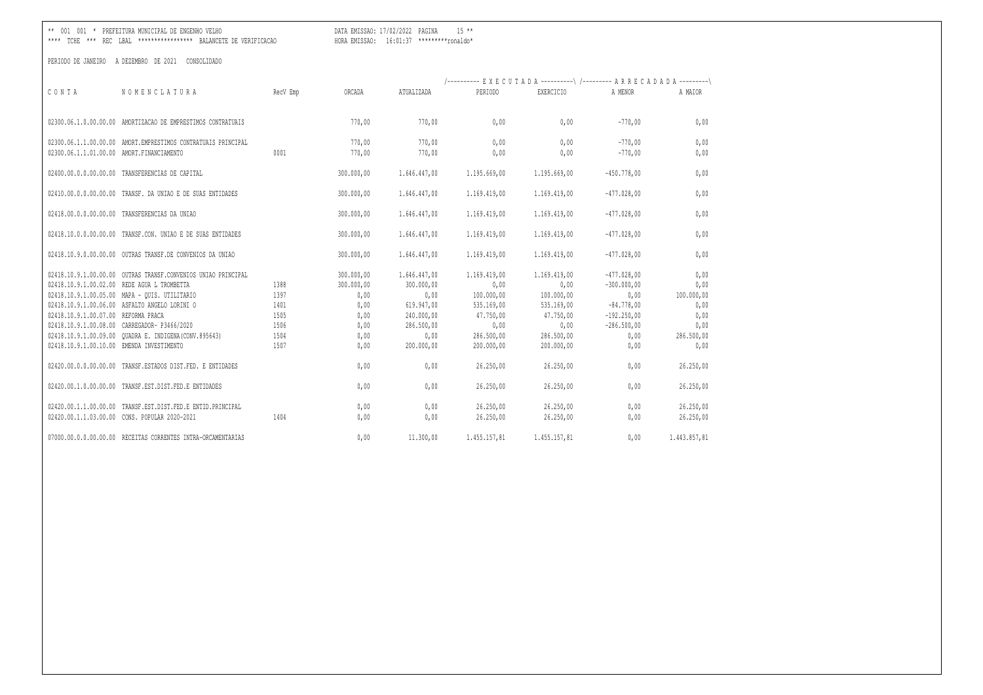DATA EMISSAO: 17/02/2022 PAGINA 15 \*\* 

|                                           |                                                               |          |            |              |              | /---------- EXECUTADA ----------\ /--------- ARRECADADA ---------\ |               |              |
|-------------------------------------------|---------------------------------------------------------------|----------|------------|--------------|--------------|--------------------------------------------------------------------|---------------|--------------|
| CONTA                                     | NOMENCLATURA                                                  | RecV Emp | ORCADA     | ATUALIZADA   | PERIODO      | EXERCICIO                                                          | A MENOR       | A MAIOR      |
|                                           |                                                               |          |            |              |              |                                                                    |               |              |
|                                           | 02300.06.1.0.00.00.00 AMORTIZACAO DE EMPRESTIMOS CONTRATUAIS  |          | 770,00     | 770,00       | 0.00         | 0.00                                                               | $-770.00$     | 0,00         |
|                                           | 02300.06.1.1.00.00.00 AMORT.EMPRESTIMOS CONTRATUAIS PRINCIPAL |          | 770,00     | 770,00       | 0.00         | 0.00                                                               | $-770.00$     | 0,00         |
| 02300.06.1.1.01.00.00 AMORT.FINANCIAMENTO |                                                               | 0001     | 770,00     | 770,00       | 0,00         | 0,00                                                               | $-770,00$     | 0,00         |
|                                           |                                                               |          |            |              |              |                                                                    |               |              |
|                                           | 02400.00.0.00.00.00.00 TRANSFERENCIAS DE CAPITAL              |          | 300.000,00 | 1.646.447,00 | 1.195.669,00 | 1.195.669,00                                                       | $-450.778,00$ | 0,00         |
| 02410.00.0.0.00.00.00                     | TRANSF. DA UNIAO E DE SUAS ENTIDADES                          |          | 300.000,00 | 1.646.447,00 | 1.169.419,00 | 1.169.419,00                                                       | $-477.028,00$ | 0,00         |
| 02418.00.0.0.00.00.00                     | TRANSFERENCIAS DA UNIAO                                       |          | 300.000,00 | 1.646.447,00 | 1.169.419,00 | 1.169.419,00                                                       | $-477.028,00$ | 0,00         |
|                                           |                                                               |          |            |              |              |                                                                    |               |              |
|                                           | 02418.10.0.0.00.00.00 TRANSF.CON. UNIAO E DE SUAS ENTIDADES   |          | 300.000,00 | 1.646.447,00 | 1.169.419,00 | 1.169.419,00                                                       | $-477.028,00$ | 0,00         |
|                                           | 02418.10.9.0.00.00.00 OUTRAS TRANSF.DE CONVENIOS DA UNIAO     |          | 300.000,00 | 1.646.447,00 | 1.169.419,00 | 1.169.419,00                                                       | $-477.028.00$ | 0,00         |
|                                           |                                                               |          |            |              |              |                                                                    |               |              |
|                                           | 02418.10.9.1.00.00.00 OUTRAS TRANSF.CONVENIOS UNIAO PRINCIPAL |          | 300.000,00 | 1.646.447,00 | 1.169.419.00 | 1.169.419,00                                                       | $-477.028.00$ | 0,00         |
|                                           | 02418.10.9.1.00.02.00 REDE AGUA L TROMBETTA                   | 1388     | 300.000,00 | 300.000,00   | 0,00         | 0,00                                                               | $-300.000,00$ | 0,00         |
|                                           | 02418.10.9.1.00.05.00 MAPA - QUIS. UTILITARIO                 | 1397     | 0,00       | 0,00         | 100.000,00   | 100.000,00                                                         | 0,00          | 100.000,00   |
|                                           | 02418.10.9.1.00.06.00 ASFALTO ANGELO LORINI O                 | 1401     | 0,00       | 619.947,00   | 535.169,00   | 535.169,00                                                         | $-84.778,00$  | 0,00         |
| 02418.10.9.1.00.07.00 REFORMA PRACA       |                                                               | 1505     | 0,00       | 240.000,00   | 47.750,00    | 47.750,00                                                          | $-192.250,00$ | 0,00         |
|                                           | 02418.10.9.1.00.08.00 CARREGADOR- P3466/2020                  | 1506     | 0,00       | 286.500,00   | 0,00         | 0,00                                                               | $-286.500,00$ | 0,00         |
|                                           |                                                               | 1504     | 0,00       | 0.00         | 286.500,00   | 286.500,00                                                         | 0,00          | 286.500,00   |
| 02418.10.9.1.00.10.00 EMENDA INVESTIMENTO |                                                               | 1507     | 0,00       | 200.000,00   | 200.000,00   | 200,000,00                                                         | 0,00          | 0,00         |
|                                           | 02420.00.0.0.00.00.00 TRANSF.ESTADOS DIST.FED. E ENTIDADES    |          | 0,00       | 0,00         | 26.250,00    | 26.250,00                                                          | 0,00          | 26.250,00    |
|                                           | 02420.00.1.0.00.00.00 TRANSF.EST.DIST.FED.E ENTIDADES         |          | 0,00       | 0,00         | 26.250,00    | 26.250,00                                                          | 0,00          | 26.250,00    |
|                                           | 02420.00.1.1.00.00.00 TRANSF.EST.DIST.FED.E ENTID.PRINCIPAL   |          | 0,00       | 0,00         | 26.250,00    | 26.250,00                                                          | 0,00          | 26.250,00    |
|                                           | 02420.00.1.1.03.00.00 CONS. POPULAR 2020-2021                 | 1404     | 0,00       | 0,00         | 26.250,00    | 26.250,00                                                          | 0,00          | 26.250,00    |
|                                           |                                                               |          |            |              |              |                                                                    |               |              |
|                                           | 07000.00.0.0.00.00.00 RECEITAS CORRENTES INTRA-ORCAMENTARIAS  |          | 0,00       | 11.300,00    | 1.455.157,81 | 1.455.157,81                                                       | 0,00          | 1.443.857,81 |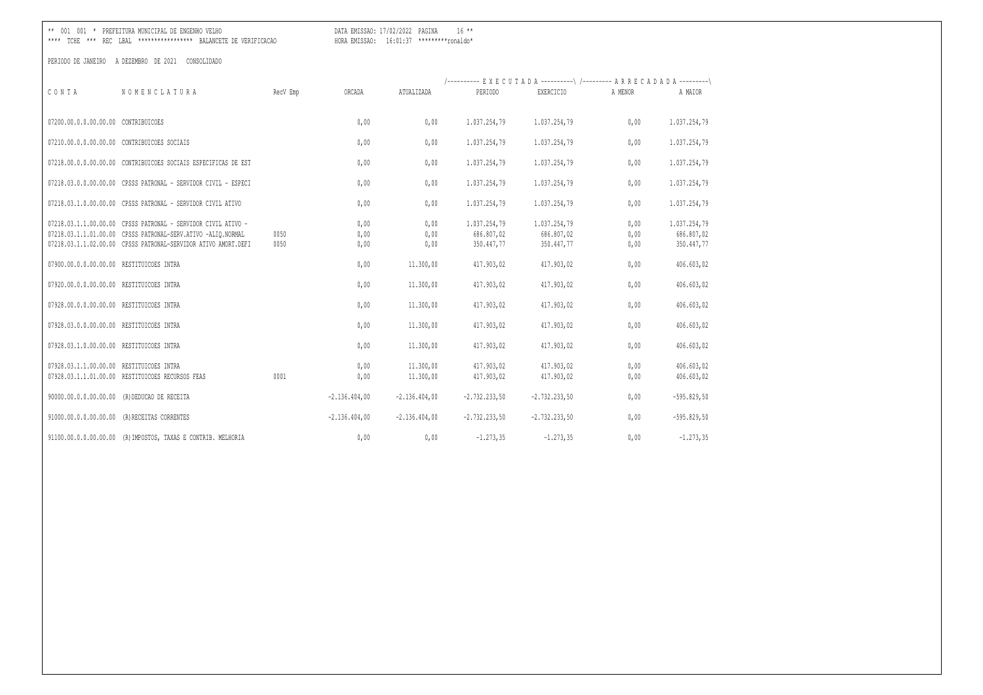DATA EMISSAO: 17/02/2022 PAGINA 16 \*\* 

| CONTA                                    | NOMENCLATURA                                                                                                                                                                                    | RecV Emp     | ORCADA                       | ATUALIZADA                        | /---------- EXECUTADA ----------\ /--------- ARRECADADA ---------\<br>PERIODO | EXERCICIO                                              | A MENOR                      | A MAIOR                                                |
|------------------------------------------|-------------------------------------------------------------------------------------------------------------------------------------------------------------------------------------------------|--------------|------------------------------|-----------------------------------|-------------------------------------------------------------------------------|--------------------------------------------------------|------------------------------|--------------------------------------------------------|
| 07200.00.0.0.00.00.00 CONTRIBUICOES      |                                                                                                                                                                                                 |              | 0,00                         | 0.00                              | 1.037.254,79                                                                  | 1.037.254,79                                           | 0.00                         | 1.037.254,79                                           |
|                                          | 07210.00.0.0.00.00.00 CONTRIBUICOES SOCIAIS                                                                                                                                                     |              | 0,00                         | 0,00                              | 1.037.254,79                                                                  | 1.037.254,79                                           | 0,00                         | 1.037.254,79                                           |
|                                          | 07218.00.0.0.00.00.00 CONTRIBUICOES SOCIAIS ESPECIFICAS DE EST                                                                                                                                  |              | 0,00                         | 0,00                              | 1.037.254,79                                                                  | 1.037.254,79                                           | 0,00                         | 1.037.254,79                                           |
|                                          | 07218.03.0.0.00.00.00 CPSSS PATRONAL - SERVIDOR CIVIL - ESPECI                                                                                                                                  |              | 0,00                         | 0,00                              | 1.037.254,79                                                                  | 1.037.254,79                                           | 0,00                         | 1.037.254,79                                           |
|                                          | 07218.03.1.0.00.00.00 CPSSS PATRONAL - SERVIDOR CIVIL ATIVO                                                                                                                                     |              | 0,00                         | 0,00                              | 1.037.254,79                                                                  | 1.037.254,79                                           | 0,00                         | 1.037.254,79                                           |
| 07900.00.0.0.00.00.00 RESTITUICOES INTRA | 07218.03.1.1.00.00.00 CPSSS PATRONAL - SERVIDOR CIVIL ATIVO -<br>07218.03.1.1.01.00.00 CPSSS PATRONAL-SERV.ATIVO -ALIQ.NORMAL<br>07218.03.1.1.02.00.00 CPSSS PATRONAL-SERVIDOR ATIVO AMORT.DEFI | 0050<br>0050 | 0,00<br>0,00<br>0,00<br>0,00 | 0,00<br>0,00<br>0,00<br>11.300,00 | 1.037.254,79<br>686.807,02<br>350.447,77<br>417.903,02                        | 1.037.254,79<br>686.807,02<br>350,447,77<br>417.903,02 | 0,00<br>0,00<br>0,00<br>0,00 | 1.037.254,79<br>686.807,02<br>350.447,77<br>406.603,02 |
| 07920.00.0.0.00.00.00 RESTITUICOES INTRA |                                                                                                                                                                                                 |              | 0,00                         | 11.300,00                         | 417.903,02                                                                    | 417.903,02                                             | 0,00                         | 406.603,02                                             |
| 07928.00.0.0.00.00.00 RESTITUICOES INTRA |                                                                                                                                                                                                 |              | 0,00                         | 11.300,00                         | 417.903,02                                                                    | 417.903,02                                             | 0,00                         | 406.603,02                                             |
| 07928.03.0.0.00.00.00 RESTITUICOES INTRA |                                                                                                                                                                                                 |              | 0,00                         | 11.300,00                         | 417.903,02                                                                    | 417.903,02                                             | 0.00                         | 406.603,02                                             |
| 07928.03.1.0.00.00.00 RESTITUICOES INTRA |                                                                                                                                                                                                 |              | 0,00                         | 11.300,00                         | 417.903,02                                                                    | 417.903,02                                             | 0,00                         | 406.603,02                                             |
| 07928.03.1.1.00.00.00 RESTITUICOES INTRA | 07928.03.1.1.01.00.00 RESTITUICOES RECURSOS FEAS                                                                                                                                                | 0001         | 0,00<br>0,00                 | 11.300,00<br>11.300,00            | 417.903,02<br>417.903,02                                                      | 417.903,02<br>417.903,02                               | 0,00<br>0,00                 | 406.603,02<br>406.603,02                               |
|                                          | 90000.00.0.0.00.00.00 (R) DEDUCAO DE RECEITA                                                                                                                                                    |              | $-2.136.404,00$              | $-2.136.404,00$                   | $-2.732.233,50$                                                               | $-2.732.233,50$                                        | 0,00                         | $-595.829,50$                                          |
|                                          | 91000.00.0.0.00.00.00 (R) RECEITAS CORRENTES                                                                                                                                                    |              | $-2.136.404,00$              | $-2.136.404,00$                   | $-2.732.233,50$                                                               | $-2.732.233,50$                                        | 0,00                         | $-595.829,50$                                          |
|                                          | 91100.00.0.0.00.00.00 (R) IMPOSTOS, TAXAS E CONTRIB. MELHORIA                                                                                                                                   |              | 0,00                         | 0,00                              | $-1.273, 35$                                                                  | $-1.273, 35$                                           | 0,00                         | $-1, 273, 35$                                          |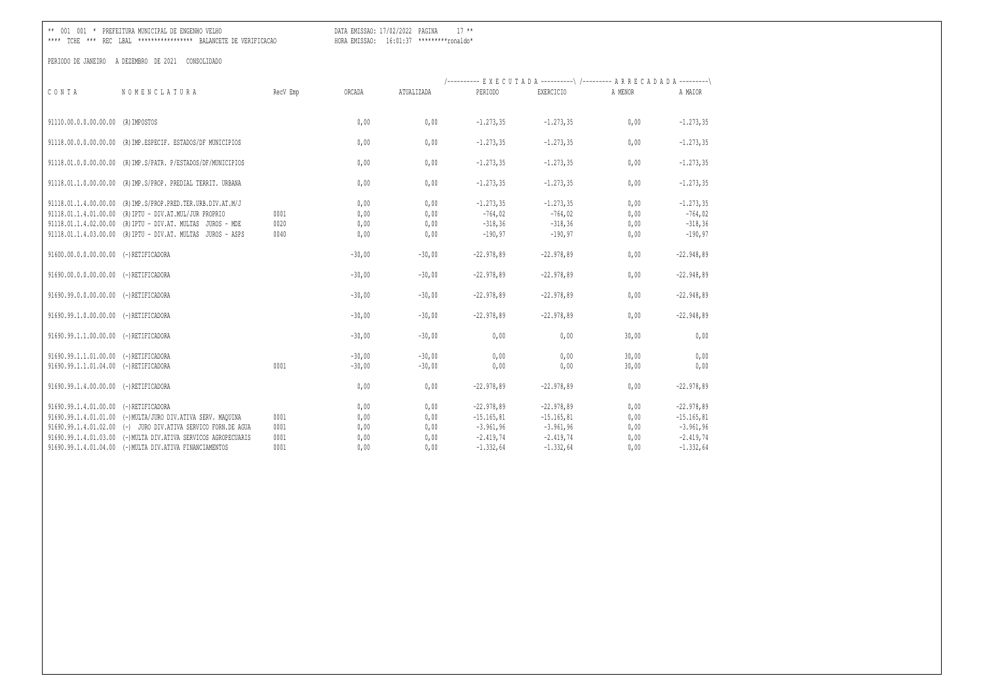\*\* 001 001 \* PREFEITURA MUNICIPAL DE ENGENHO VELHO DATA EMISSAO: 17/02/2022 PAGINA 17 \*\*

\*\*\*\* TCHE \*\*\* REC LBAL \*\*\*\*\*\*\*\*\*\*\*\*\*\*\*\*\* BALANCETE DE VERIFICACAO HORA EMISSAO: 16:01:37 \*\*\*\*\*\*\*\*\*ronaldo\*

|                                       |                                                                 |          |          |            | /---------- EXECUTADA ----------\ /--------- ARRECADADA ---------\ |               |         |               |
|---------------------------------------|-----------------------------------------------------------------|----------|----------|------------|--------------------------------------------------------------------|---------------|---------|---------------|
| CONTA                                 | NOMENCLATURA                                                    | RecV Emp | ORCADA   | ATUALIZADA | PERTODO                                                            | EXERCICIO     | A MENOR | A MAIOR       |
|                                       |                                                                 |          |          |            |                                                                    |               |         |               |
| 91110.00.0.0.00.00.00 (R) IMPOSTOS    |                                                                 |          | 0.00     | 0.00       | $-1, 273, 35$                                                      | $-1.273, 35$  | 0.00    | $-1.273, 35$  |
|                                       |                                                                 |          |          |            |                                                                    |               |         |               |
|                                       | 91118.00.0.0.00.00.00 (R) IMP. ESPECIF. ESTADOS/DF MUNICIPIOS   |          | 0,00     | 0,00       | $-1.273, 35$                                                       | $-1, 273, 35$ | 0,00    | $-1.273, 35$  |
|                                       | 91118.01.0.0.00.00.00 (R) IMP.S/PATR. P/ESTADOS/DF/MUNICIPIOS   |          | 0,00     | 0,00       | $-1.273, 35$                                                       | $-1.273, 35$  | 0,00    | $-1.273, 35$  |
|                                       |                                                                 |          |          |            |                                                                    |               |         |               |
|                                       | 91118.01.1.0.00.00.00 (R) IMP.S/PROP. PREDIAL TERRIT. URBANA    |          | 0,00     | 0,00       | $-1.273, 35$                                                       | $-1, 273, 35$ | 0,00    | $-1.273, 35$  |
|                                       | 91118.01.1.4.00.00.00 (R) IMP.S/PROP.PRED.TER.URB.DIV.AT.M/J    |          | 0.00     | 0.00       | $-1, 273, 35$                                                      | $-1.273, 35$  | 0.00    | $-1.273, 35$  |
|                                       | 91118.01.1.4.01.00.00 (R) IPTU - DIV.AT.MUL/JUR PROPRIO         | 0001     | 0.00     | 0,00       | $-764,02$                                                          | $-764,02$     | 0,00    | $-764,02$     |
|                                       | 91118.01.1.4.02.00.00 (R) IPTU - DIV.AT. MULTAS JUROS - MDE     | 0020     | 0.00     | 0,00       | $-318, 36$                                                         | $-318, 36$    | 0,00    | $-318, 36$    |
|                                       | 91118.01.1.4.03.00.00 (R) IPTU - DIV.AT. MULTAS JUROS - ASPS    | 0040     | 0,00     | 0,00       | $-190,97$                                                          | $-190, 97$    | 0,00    | $-190, 97$    |
| 91600.00.0.0.00.00.00 (-)RETIFICADORA |                                                                 |          | $-30,00$ | $-30.00$   | $-22.978,89$                                                       | $-22.978.89$  | 0,00    | $-22.948,89$  |
|                                       |                                                                 |          |          |            |                                                                    |               |         |               |
| 91690.00.0.0.00.00.00 (-)RETIFICADORA |                                                                 |          | $-30,00$ | $-30,00$   | $-22.978,89$                                                       | $-22.978,89$  | 0,00    | $-22.948,89$  |
| 91690.99.0.0.00.00.00 (-)RETIFICADORA |                                                                 |          | $-30,00$ | $-30,00$   | $-22.978,89$                                                       | $-22.978,89$  | 0,00    | $-22.948,89$  |
|                                       |                                                                 |          |          |            |                                                                    |               |         |               |
| 91690.99.1.0.00.00.00 (-)RETIFICADORA |                                                                 |          | $-30,00$ | $-30,00$   | $-22.978,89$                                                       | $-22.978,89$  | 0,00    | $-22.948,89$  |
| 91690.99.1.1.00.00.00 (-)RETIFICADORA |                                                                 |          | $-30,00$ | $-30,00$   | 0,00                                                               | 0,00          | 30,00   | 0,00          |
| 91690.99.1.1.01.00.00 (-)RETIFICADORA |                                                                 |          | $-30,00$ | $-30,00$   | 0,00                                                               | 0,00          | 30,00   | 0,00          |
| 91690.99.1.1.01.04.00 (-)RETIFICADORA |                                                                 | 0001     | $-30,00$ | $-30,00$   | 0,00                                                               | 0,00          | 30,00   | 0,00          |
|                                       |                                                                 |          |          |            |                                                                    |               |         |               |
| 91690.99.1.4.00.00.00 (-)RETIFICADORA |                                                                 |          | 0.00     | 0.00       | $-22.978,89$                                                       | $-22.978.89$  | 0.00    | $-22.978,89$  |
| 91690.99.1.4.01.00.00 (-)RETIFICADORA |                                                                 |          | 0.00     | 0,00       | $-22.978,89$                                                       | $-22.978,89$  | 0,00    | $-22.978,89$  |
|                                       | 91690.99.1.4.01.01.00 (-)MULTA/JURO DIV.ATIVA SERV. MAQUINA     | 0001     | 0,00     | 0,00       | $-15.165, 81$                                                      | $-15.165, 81$ | 0,00    | $-15.165, 81$ |
|                                       | 91690.99.1.4.01.02.00 (-) JURO DIV.ATIVA SERVICO FORN.DE AGUA   | 0001     | 0,00     | 0,00       | $-3.961,96$                                                        | $-3.961,96$   | 0,00    | $-3.961,96$   |
|                                       | 91690.99.1.4.01.03.00 (-) MULTA DIV.ATIVA SERVICOS AGROPECUARIS | 0001     | 0.00     | 0.00       | $-2.419,74$                                                        | $-2.419,74$   | 0,00    | $-2.419,74$   |
|                                       | 91690.99.1.4.01.04.00 (-) MULTA DIV.ATIVA FINANCIAMENTOS        | 0001     | 0.00     | 0.00       | $-1.332,64$                                                        | $-1.332.64$   | 0.00    | $-1.332,64$   |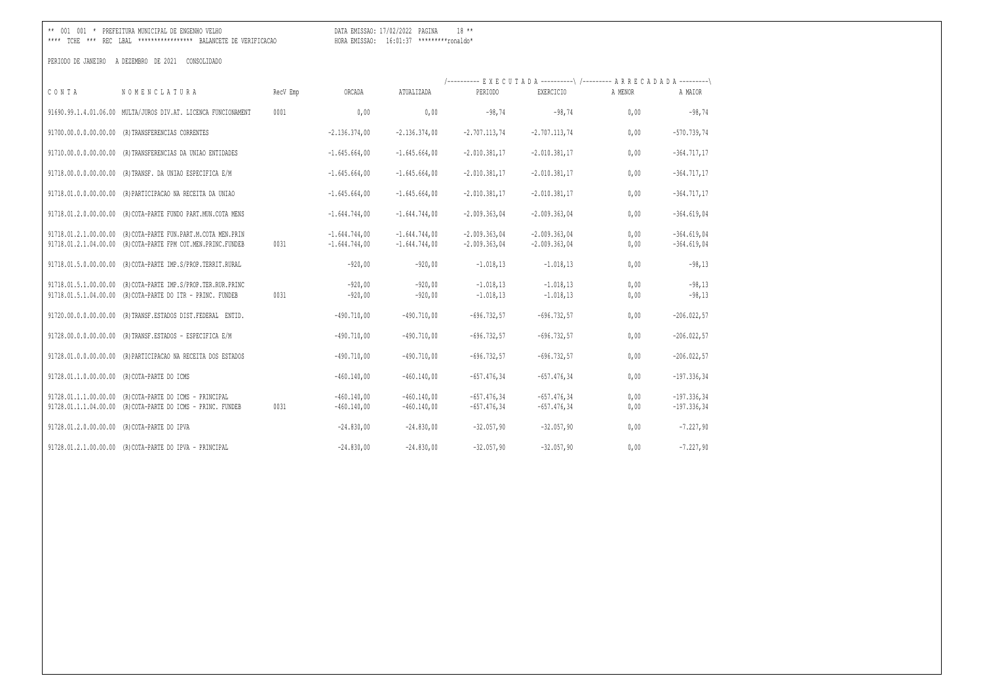DATA EMISSAO: 17/02/2022 PAGINA 18 \*\* 

|                                                |                                                                                                       |          |                                    |                                    |                                    | /---------- EXECUTADA ----------\ /--------- ARRECADADA ---------\ |              |                                |
|------------------------------------------------|-------------------------------------------------------------------------------------------------------|----------|------------------------------------|------------------------------------|------------------------------------|--------------------------------------------------------------------|--------------|--------------------------------|
| CONTA                                          | NOMENCLATURA                                                                                          | RecV Emp | ORCADA                             | ATUALIZADA                         | PERIODO                            | <b>EXERCICIO</b>                                                   | A MENOR      | A MAIOR                        |
|                                                | 91690.99.1.4.01.06.00 MULTA/JUROS DIV.AT. LICENCA FUNCIONAMENT                                        | 0001     | 0,00                               | 0,00                               | $-98,74$                           | $-98,74$                                                           | 0,00         | $-98,74$                       |
|                                                | 91700.00.0.0.00.00.00 (R) TRANSFERENCIAS CORRENTES                                                    |          | $-2.136.374,00$                    | $-2.136.374,00$                    | $-2.707.113,74$                    | $-2.707.113,74$                                                    | 0,00         | $-570.739,74$                  |
|                                                | 91710.00.0.0.00.00.00 (R)TRANSFERENCIAS DA UNIAO ENTIDADES                                            |          | $-1.645.664,00$                    | $-1.645.664,00$                    | $-2.010.381, 17$                   | $-2.010.381, 17$                                                   | 0,00         | $-364.717,17$                  |
|                                                | 91718.00.0.0.00.00.00 (R)TRANSF. DA UNIAO ESPECIFICA E/M                                              |          | $-1.645.664,00$                    | $-1.645.664,00$                    | $-2.010.381, 17$                   | $-2.010.381, 17$                                                   | 0,00         | $-364.717,17$                  |
| 91718.01.0.0.00.00.00                          | (R) PARTICIPACAO NA RECEITA DA UNIAO                                                                  |          | $-1.645.664,00$                    | $-1.645.664,00$                    | $-2.010.381, 17$                   | $-2.010.381, 17$                                                   | 0,00         | $-364.717,17$                  |
|                                                | 91718.01.2.0.00.00.00 (R)COTA-PARTE FUNDO PART.MUN.COTA MENS                                          |          | $-1.644.744,00$                    | $-1.644.744,00$                    | $-2.009.363,04$                    | $-2.009.363,04$                                                    | 0,00         | $-364.619,04$                  |
| 91718.01.2.1.00.00.00<br>91718.01.2.1.04.00.00 | (R) COTA-PARTE FUN. PART. M. COTA MEN. PRIN<br>(R) COTA-PARTE FPM COT.MEN.PRINC.FUNDEB                | 0031     | $-1.644.744.00$<br>$-1.644.744.00$ | $-1.644.744.00$<br>$-1.644.744,00$ | $-2.009.363.04$<br>$-2.009.363,04$ | $-2.009.363.04$<br>$-2.009.363,04$                                 | 0.00<br>0,00 | $-364.619,04$<br>$-364.619,04$ |
|                                                | 91718.01.5.0.00.00.00 (R)COTA-PARTE IMP.S/PROP.TERRIT.RURAL                                           |          | $-920,00$                          | $-920,00$                          | $-1.018, 13$                       | $-1.018, 13$                                                       | 0,00         | $-98,13$                       |
| 91718.01.5.1.00.00.00                          | (R) COTA-PARTE IMP.S/PROP.TER.RUR.PRINC<br>91718.01.5.1.04.00.00 (R)COTA-PARTE DO ITR - PRINC. FUNDEB | 0031     | $-920,00$<br>$-920,00$             | $-920,00$<br>$-920,00$             | $-1.018, 13$<br>$-1.018, 13$       | $-1.018, 13$<br>$-1.018, 13$                                       | 0,00<br>0,00 | $-98,13$<br>$-98,13$           |
| 91720.00.0.0.00.00.00                          | (R) TRANSF. ESTADOS DIST. FEDERAL ENTID.                                                              |          | $-490.710,00$                      | $-490.710,00$                      | $-696.732.57$                      | $-696.732.57$                                                      | 0,00         | $-206.022,57$                  |
| 91728.00.0.0.00.00.00                          | (R) TRANSF. ESTADOS - ESPECIFICA E/M                                                                  |          | $-490.710,00$                      | $-490.710,00$                      | $-696.732,57$                      | $-696.732.57$                                                      | 0,00         | $-206.022,57$                  |
| 91728.01.0.0.00.00.00                          | (R) PARTICIPACAO NA RECEITA DOS ESTADOS                                                               |          | $-490.710,00$                      | $-490.710,00$                      | $-696.732,57$                      | $-696.732.57$                                                      | 0,00         | $-206.022,57$                  |
| 91728.01.1.0.00.00.00                          | (R) COTA-PARTE DO ICMS                                                                                |          | $-460.140,00$                      | $-460.140,00$                      | $-657.476, 34$                     | $-657.476, 34$                                                     | 0,00         | $-197.336,34$                  |
| 91728.01.1.1.00.00.00                          | (R) COTA-PARTE DO ICMS - PRINCIPAL<br>91728.01.1.1.04.00.00 (R)COTA-PARTE DO ICMS - PRINC. FUNDEB     | 0031     | $-460.140.00$<br>$-460.140,00$     | $-460.140,00$<br>$-460.140,00$     | $-657.476.34$<br>$-657.476, 34$    | $-657.476, 34$<br>$-657.476, 34$                                   | 0,00<br>0,00 | $-197.336,34$<br>$-197.336,34$ |
| 91728.01.2.0.00.00.00                          | (R) COTA-PARTE DO IPVA                                                                                |          | $-24.830,00$                       | $-24.830,00$                       | $-32.057,90$                       | $-32.057,90$                                                       | 0,00         | $-7.227,90$                    |
|                                                | 91728.01.2.1.00.00.00 (R)COTA-PARTE DO IPVA - PRINCIPAL                                               |          | $-24.830,00$                       | $-24.830,00$                       | $-32.057,90$                       | $-32.057,90$                                                       | 0,00         | $-7.227,90$                    |